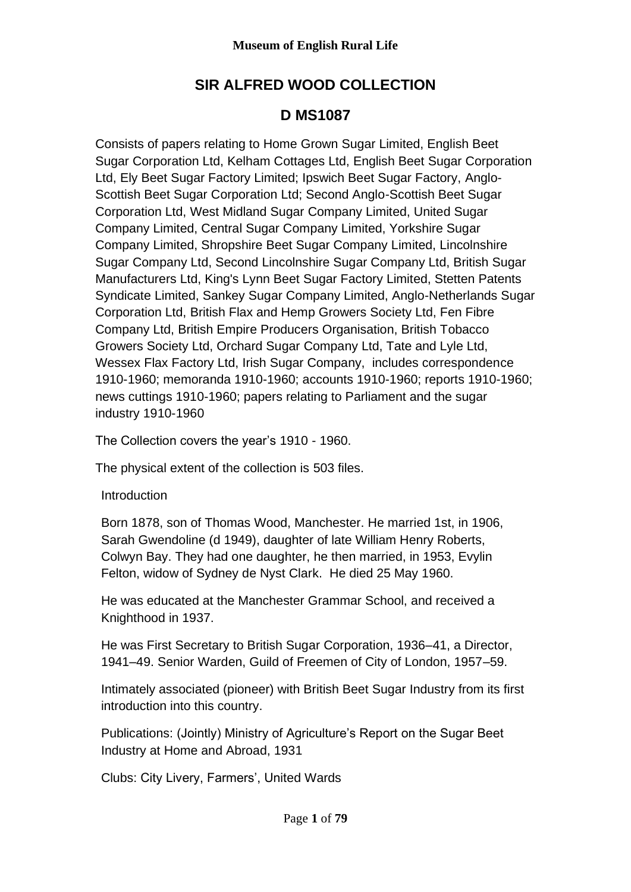# **SIR ALFRED WOOD COLLECTION**

## **D MS1087**

Consists of papers relating to Home Grown Sugar Limited, English Beet Sugar Corporation Ltd, Kelham Cottages Ltd, English Beet Sugar Corporation Ltd, Ely Beet Sugar Factory Limited; Ipswich Beet Sugar Factory, Anglo-Scottish Beet Sugar Corporation Ltd; Second Anglo-Scottish Beet Sugar Corporation Ltd, West Midland Sugar Company Limited, United Sugar Company Limited, Central Sugar Company Limited, Yorkshire Sugar Company Limited, Shropshire Beet Sugar Company Limited, Lincolnshire Sugar Company Ltd, Second Lincolnshire Sugar Company Ltd, British Sugar Manufacturers Ltd, King's Lynn Beet Sugar Factory Limited, Stetten Patents Syndicate Limited, Sankey Sugar Company Limited, Anglo-Netherlands Sugar Corporation Ltd, British Flax and Hemp Growers Society Ltd, Fen Fibre Company Ltd, British Empire Producers Organisation, British Tobacco Growers Society Ltd, Orchard Sugar Company Ltd, Tate and Lyle Ltd, Wessex Flax Factory Ltd, Irish Sugar Company, includes correspondence 1910-1960; memoranda 1910-1960; accounts 1910-1960; reports 1910-1960; news cuttings 1910-1960; papers relating to Parliament and the sugar industry 1910-1960

The Collection covers the year's 1910 - 1960.

The physical extent of the collection is 503 files.

## **Introduction**

Born 1878, son of Thomas Wood, Manchester. He married 1st, in 1906, Sarah Gwendoline (d 1949), daughter of late William Henry Roberts, Colwyn Bay. They had one daughter, he then married, in 1953, Evylin Felton, widow of Sydney de Nyst Clark. He died 25 May 1960.

He was educated at the Manchester Grammar School, and received a Knighthood in 1937.

He was First Secretary to British Sugar Corporation, 1936–41, a Director, 1941–49. Senior Warden, Guild of Freemen of City of London, 1957–59.

Intimately associated (pioneer) with British Beet Sugar Industry from its first introduction into this country.

Publications: (Jointly) Ministry of Agriculture's Report on the Sugar Beet Industry at Home and Abroad, 1931

Clubs: City Livery, Farmers', United Wards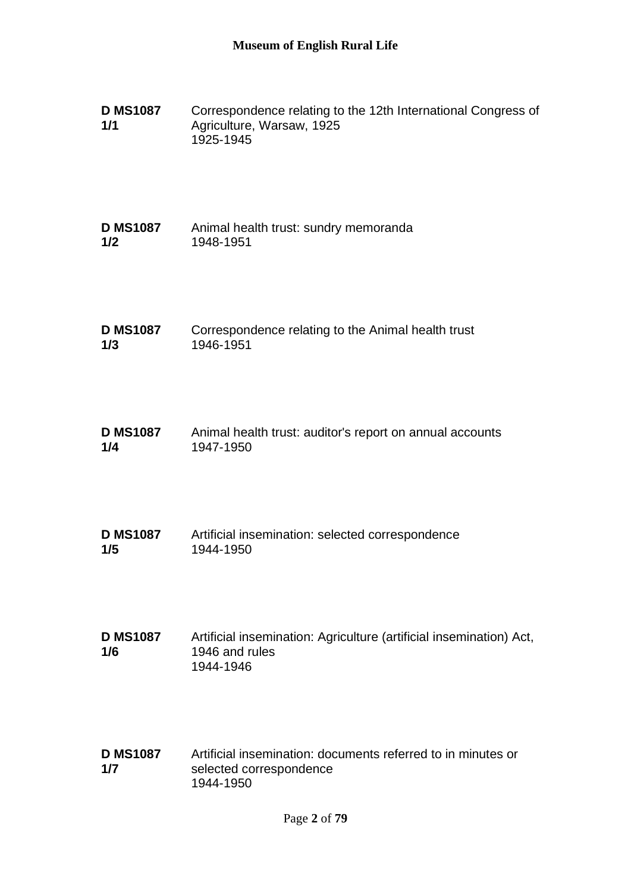| <b>D MS1087</b> | Correspondence relating to the 12th International Congress of |
|-----------------|---------------------------------------------------------------|
| 1/1             | Agriculture, Warsaw, 1925                                     |
|                 | 1925-1945                                                     |

| <b>D MS1087</b> | Animal health trust: sundry memoranda |
|-----------------|---------------------------------------|
| 1/2             | 1948-1951                             |

| <b>D MS1087</b> | Correspondence relating to the Animal health trust |
|-----------------|----------------------------------------------------|
| 1/3             | 1946-1951                                          |

| <b>D MS1087</b> | Animal health trust: auditor's report on annual accounts |
|-----------------|----------------------------------------------------------|
| 1/4             | 1947-1950                                                |

| <b>D MS1087</b> | Artificial insemination: selected correspondence |
|-----------------|--------------------------------------------------|
| 1/5             | 1944-1950                                        |

| <b>D MS1087</b> | Artificial insemination: Agriculture (artificial insemination) Act, |
|-----------------|---------------------------------------------------------------------|
| 1/6             | 1946 and rules                                                      |
|                 | 1944-1946                                                           |

**D MS1087 1/7** Artificial insemination: documents referred to in minutes or selected correspondence 1944-1950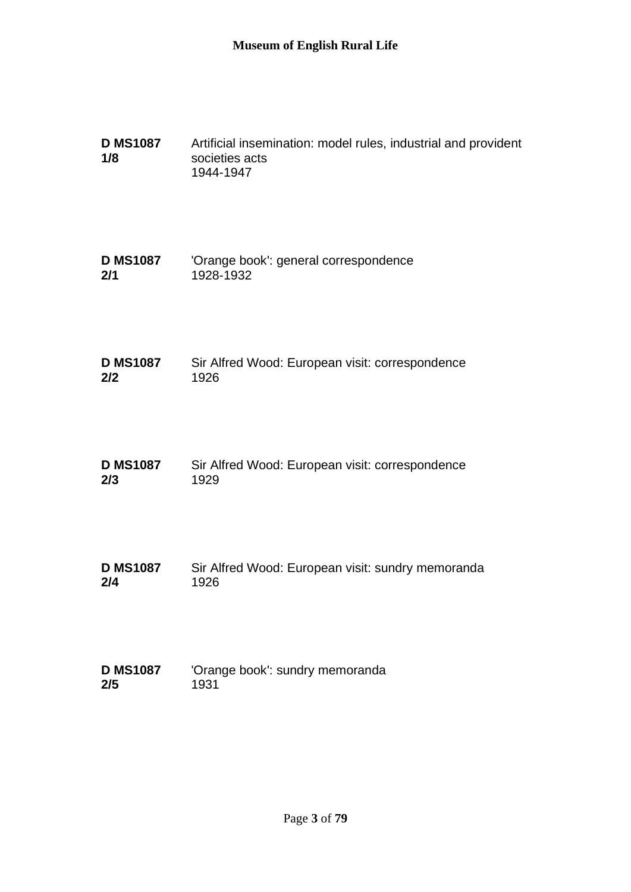| <b>D MS1087</b><br>1/8 | Artificial insemination: model rules, industrial and provident<br>societies acts<br>1944-1947 |
|------------------------|-----------------------------------------------------------------------------------------------|
| <b>D MS1087</b>        | 'Orange book': general correspondence                                                         |
| 2/1                    | 1928-1932                                                                                     |
| <b>D MS1087</b>        | Sir Alfred Wood: European visit: correspondence                                               |
| 2/2                    | 1926                                                                                          |
| <b>D MS1087</b>        | Sir Alfred Wood: European visit: correspondence                                               |
| 2/3                    | 1929                                                                                          |
| <b>D MS1087</b>        | Sir Alfred Wood: European visit: sundry memoranda                                             |
| 2/4                    | 1926                                                                                          |
| <b>D MS1087</b>        | 'Orange book': sundry memoranda                                                               |
| 2/5                    | 1931                                                                                          |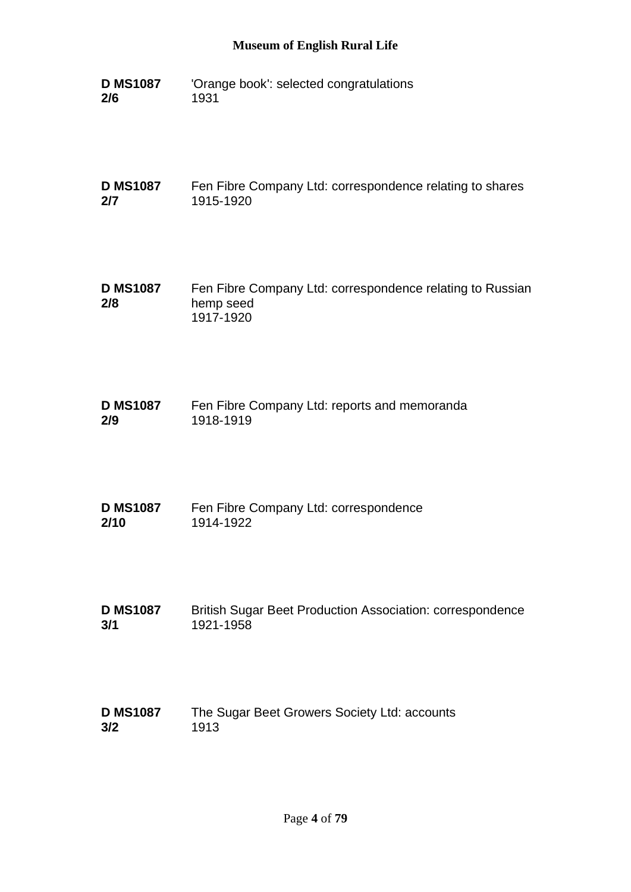**D MS1087 2/6** 'Orange book': selected congratulations 1931

**D MS1087 2/7** Fen Fibre Company Ltd: correspondence relating to shares 1915-1920

**D MS1087 2/8** Fen Fibre Company Ltd: correspondence relating to Russian hemp seed 1917-1920

**D MS1087 2/9** Fen Fibre Company Ltd: reports and memoranda 1918-1919

- **D MS1087 2/10** Fen Fibre Company Ltd: correspondence 1914-1922
- **D MS1087 3/1** British Sugar Beet Production Association: correspondence 1921-1958
- **D MS1087 3/2** The Sugar Beet Growers Society Ltd: accounts 1913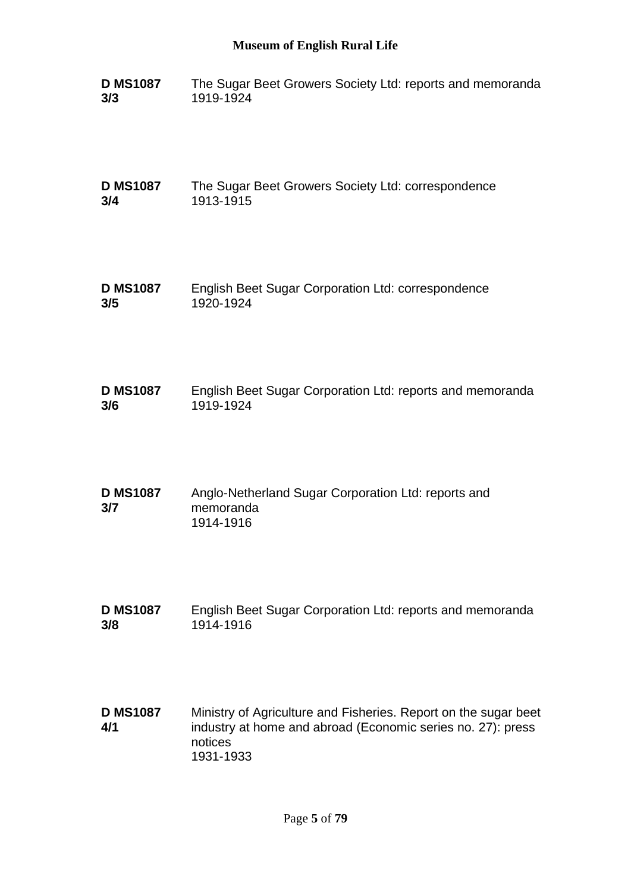| <b>D MS1087</b> | The Sugar Beet Growers Society Ltd: reports and memoranda |
|-----------------|-----------------------------------------------------------|
| 3/3             | 1919-1924                                                 |

**D MS1087 3/4** The Sugar Beet Growers Society Ltd: correspondence 1913-1915

- **D MS1087 3/5** English Beet Sugar Corporation Ltd: correspondence 1920-1924
- **D MS1087 3/6** English Beet Sugar Corporation Ltd: reports and memoranda 1919-1924
- **D MS1087 3/7** Anglo-Netherland Sugar Corporation Ltd: reports and memoranda 1914-1916
- **D MS1087 3/8** English Beet Sugar Corporation Ltd: reports and memoranda 1914-1916
- **D MS1087 4/1** Ministry of Agriculture and Fisheries. Report on the sugar beet industry at home and abroad (Economic series no. 27): press notices 1931-1933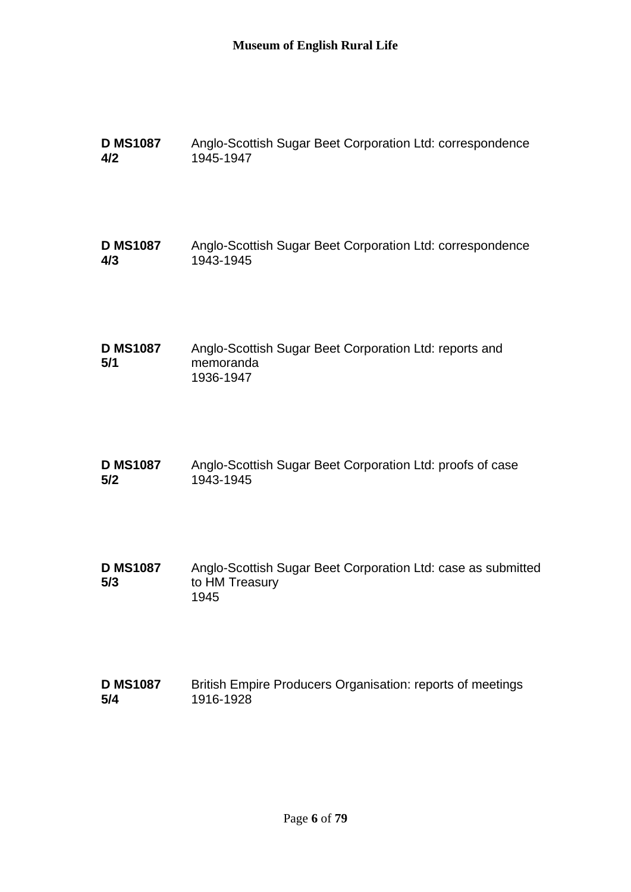| <b>D MS1087</b>        | Anglo-Scottish Sugar Beet Corporation Ltd: correspondence                              |
|------------------------|----------------------------------------------------------------------------------------|
| 4/2                    | 1945-1947                                                                              |
| <b>D MS1087</b>        | Anglo-Scottish Sugar Beet Corporation Ltd: correspondence                              |
| 4/3                    | 1943-1945                                                                              |
| <b>D MS1087</b><br>5/1 | Anglo-Scottish Sugar Beet Corporation Ltd: reports and<br>memoranda<br>1936-1947       |
| <b>D MS1087</b>        | Anglo-Scottish Sugar Beet Corporation Ltd: proofs of case                              |
| 5/2                    | 1943-1945                                                                              |
| <b>D MS1087</b><br>5/3 | Anglo-Scottish Sugar Beet Corporation Ltd: case as submitted<br>to HM Treasury<br>1945 |
| <b>D MS1087</b>        | British Empire Producers Organisation: reports of meetings                             |
| 5/4                    | 1916-1928                                                                              |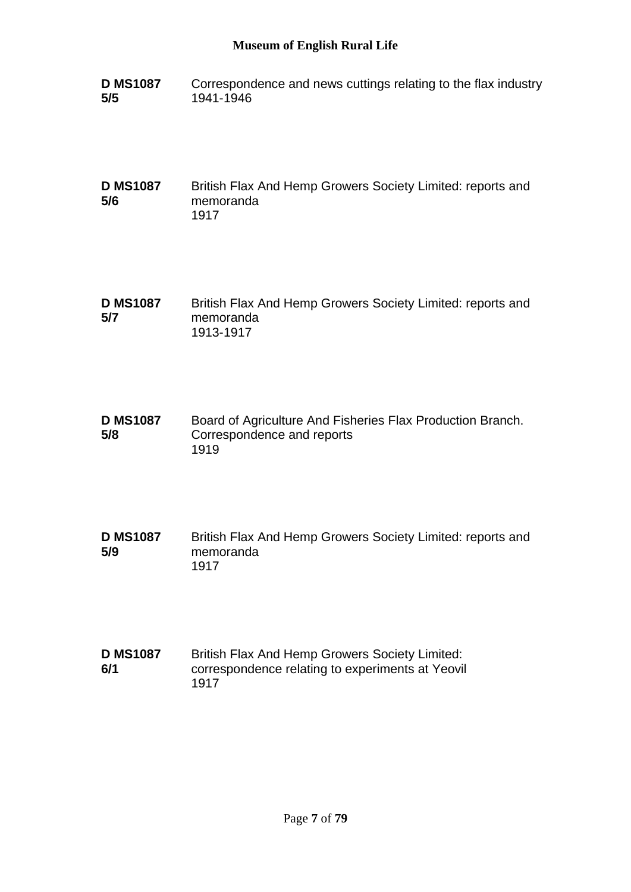**D MS1087 5/5** Correspondence and news cuttings relating to the flax industry 1941-1946

**D MS1087 5/6** British Flax And Hemp Growers Society Limited: reports and memoranda 1917

- **D MS1087 5/7** British Flax And Hemp Growers Society Limited: reports and memoranda 1913-1917
- **D MS1087 5/8** Board of Agriculture And Fisheries Flax Production Branch. Correspondence and reports 1919
- **D MS1087 5/9** British Flax And Hemp Growers Society Limited: reports and memoranda 1917
- **D MS1087 6/1** British Flax And Hemp Growers Society Limited: correspondence relating to experiments at Yeovil 1917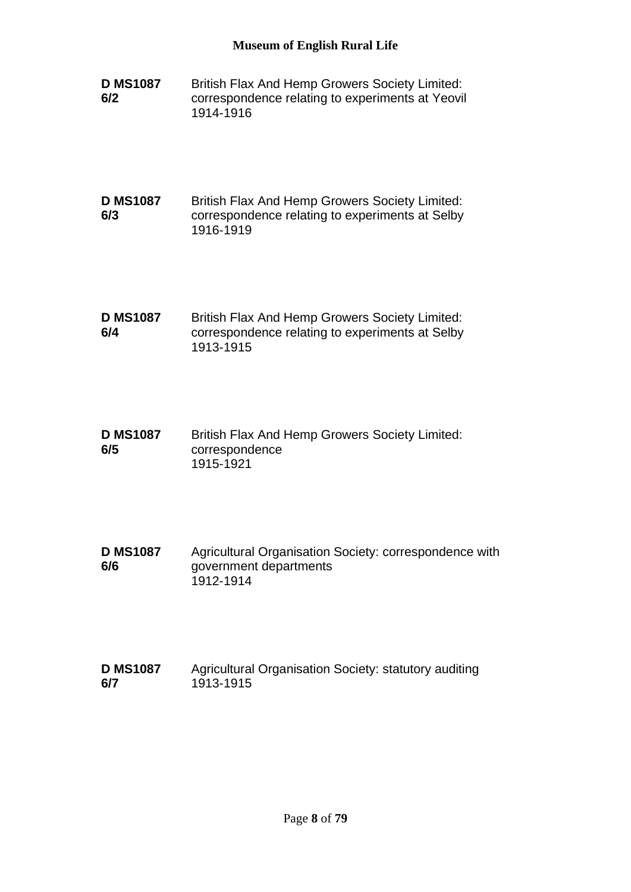- **D MS1087 6/2** British Flax And Hemp Growers Society Limited: correspondence relating to experiments at Yeovil 1914-1916
- **D MS1087 6/3** British Flax And Hemp Growers Society Limited: correspondence relating to experiments at Selby 1916-1919
- **D MS1087 6/4** British Flax And Hemp Growers Society Limited: correspondence relating to experiments at Selby 1913-1915
- **D MS1087 6/5** British Flax And Hemp Growers Society Limited: correspondence 1915-1921
- **D MS1087 6/6** Agricultural Organisation Society: correspondence with government departments 1912-1914
- **D MS1087 6/7** Agricultural Organisation Society: statutory auditing 1913-1915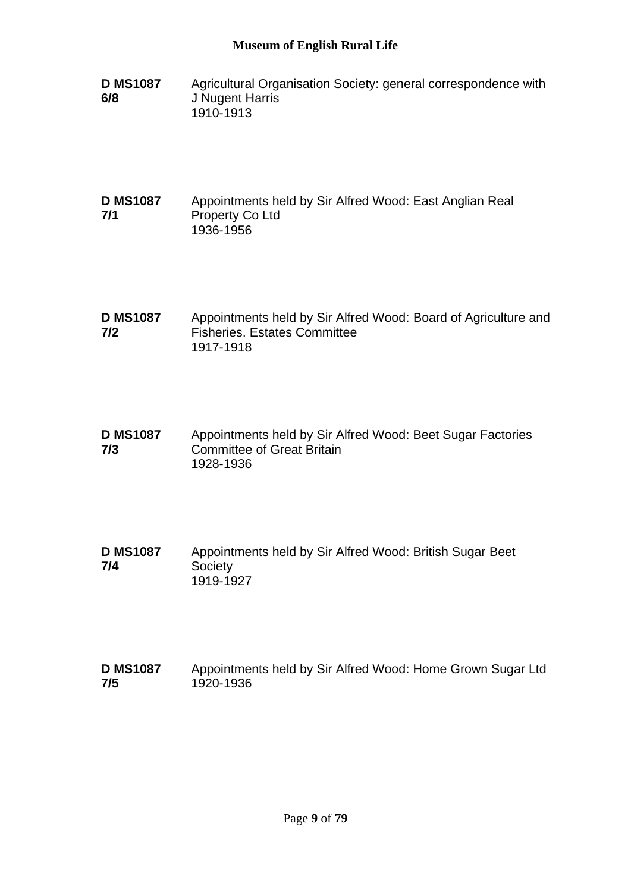- **D MS1087 6/8** Agricultural Organisation Society: general correspondence with J Nugent Harris 1910-1913
- **D MS1087 7/1** Appointments held by Sir Alfred Wood: East Anglian Real Property Co Ltd 1936-1956
- **D MS1087 7/2** Appointments held by Sir Alfred Wood: Board of Agriculture and Fisheries. Estates Committee 1917-1918
- **D MS1087 7/3** Appointments held by Sir Alfred Wood: Beet Sugar Factories Committee of Great Britain 1928-1936
- **D MS1087 7/4** Appointments held by Sir Alfred Wood: British Sugar Beet **Society** 1919-1927
- **D MS1087 7/5** Appointments held by Sir Alfred Wood: Home Grown Sugar Ltd 1920-1936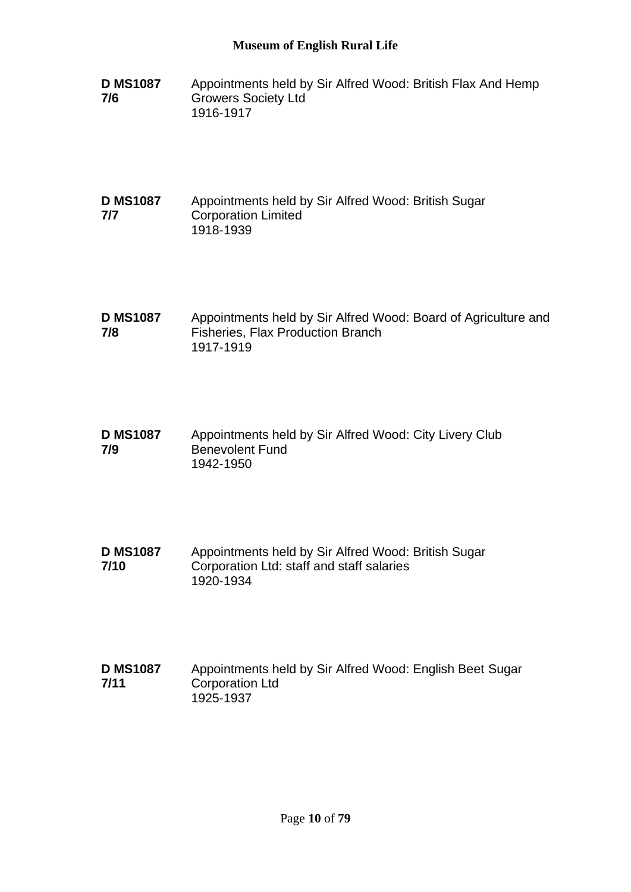**D MS1087 7/6** Appointments held by Sir Alfred Wood: British Flax And Hemp Growers Society Ltd 1916-1917

#### **D MS1087 7/7** Appointments held by Sir Alfred Wood: British Sugar Corporation Limited 1918-1939

- **D MS1087 7/8** Appointments held by Sir Alfred Wood: Board of Agriculture and Fisheries, Flax Production Branch 1917-1919
- **D MS1087 7/9** Appointments held by Sir Alfred Wood: City Livery Club Benevolent Fund 1942-1950
- **D MS1087 7/10** Appointments held by Sir Alfred Wood: British Sugar Corporation Ltd: staff and staff salaries 1920-1934
- **D MS1087 7/11** Appointments held by Sir Alfred Wood: English Beet Sugar Corporation Ltd 1925-1937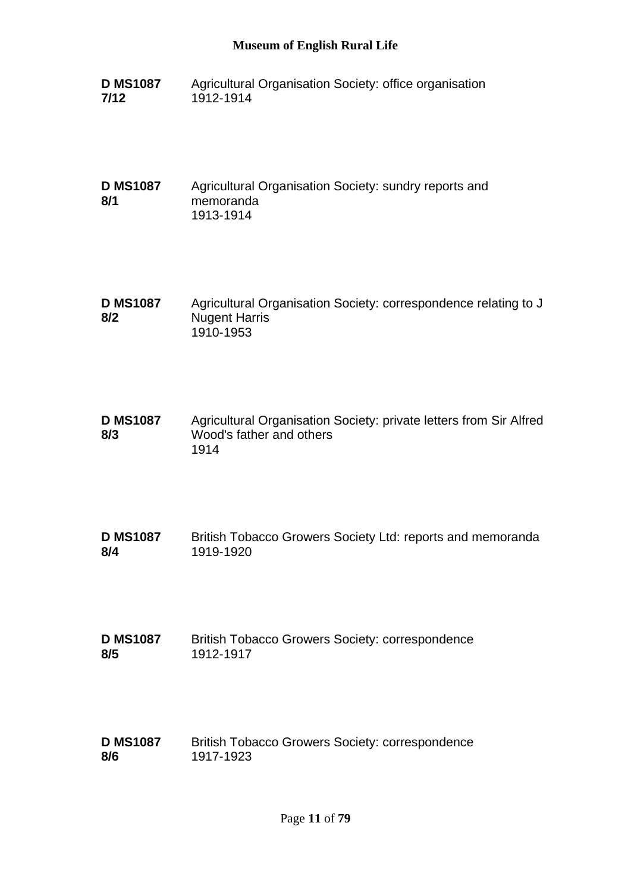**D MS1087 7/12** Agricultural Organisation Society: office organisation 1912-1914

**D MS1087 8/1** Agricultural Organisation Society: sundry reports and memoranda 1913-1914

**D MS1087 8/2** Agricultural Organisation Society: correspondence relating to J Nugent Harris 1910-1953

**D MS1087 8/3** Agricultural Organisation Society: private letters from Sir Alfred Wood's father and others 1914

**D MS1087 8/4** British Tobacco Growers Society Ltd: reports and memoranda 1919-1920

**D MS1087 8/5** British Tobacco Growers Society: correspondence 1912-1917

**D MS1087 8/6** British Tobacco Growers Society: correspondence 1917-1923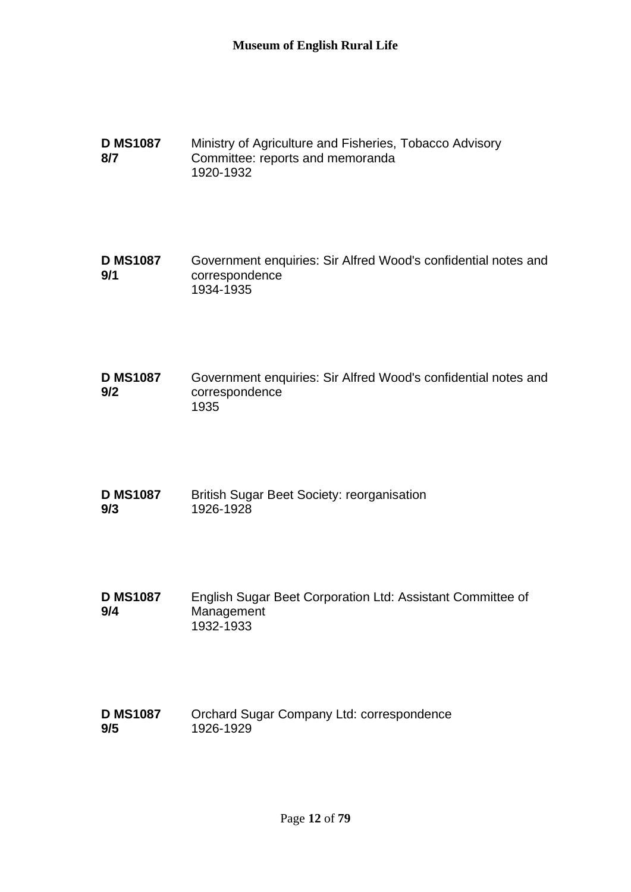**D MS1087 8/7** Ministry of Agriculture and Fisheries, Tobacco Advisory Committee: reports and memoranda 1920-1932

**D MS1087 9/1** Government enquiries: Sir Alfred Wood's confidential notes and correspondence 1934-1935

**D MS1087 9/2** Government enquiries: Sir Alfred Wood's confidential notes and correspondence 1935

**D MS1087 9/3** British Sugar Beet Society: reorganisation 1926-1928

**D MS1087 9/4** English Sugar Beet Corporation Ltd: Assistant Committee of Management 1932-1933

**D MS1087 9/5** Orchard Sugar Company Ltd: correspondence 1926-1929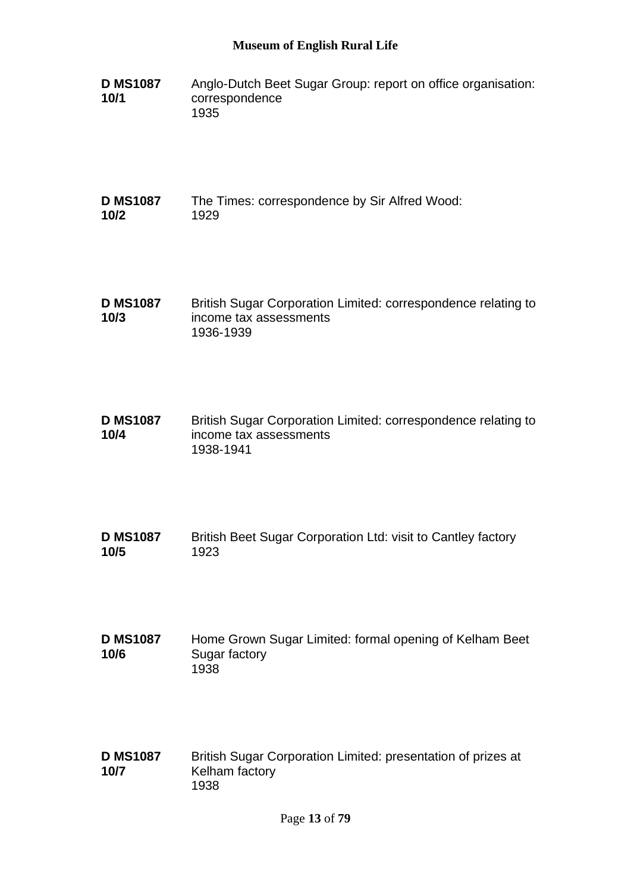- **D MS1087 10/1** Anglo-Dutch Beet Sugar Group: report on office organisation: correspondence 1935
- **D MS1087 10/2** The Times: correspondence by Sir Alfred Wood: 1929
- **D MS1087 10/3** British Sugar Corporation Limited: correspondence relating to income tax assessments 1936-1939
- **D MS1087 10/4** British Sugar Corporation Limited: correspondence relating to income tax assessments 1938-1941
- **D MS1087 10/5** British Beet Sugar Corporation Ltd: visit to Cantley factory 1923
- **D MS1087 10/6** Home Grown Sugar Limited: formal opening of Kelham Beet Sugar factory 1938
- **D MS1087 10/7** British Sugar Corporation Limited: presentation of prizes at Kelham factory 1938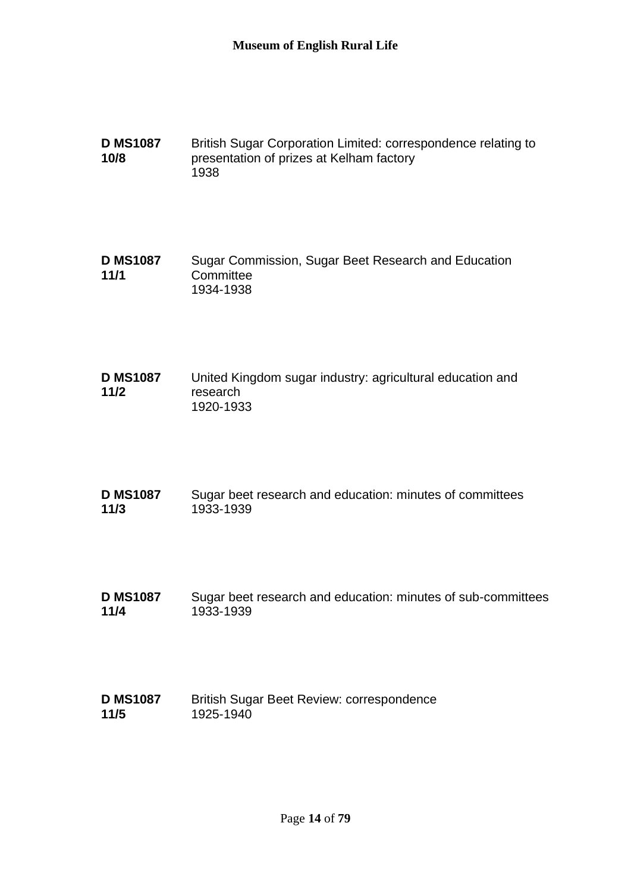**D MS1087 10/8** British Sugar Corporation Limited: correspondence relating to presentation of prizes at Kelham factory 1938

**D MS1087 11/1** Sugar Commission, Sugar Beet Research and Education **Committee** 1934-1938

- **D MS1087 11/2** United Kingdom sugar industry: agricultural education and research 1920-1933
- **D MS1087 11/3** Sugar beet research and education: minutes of committees 1933-1939
- **D MS1087 11/4** Sugar beet research and education: minutes of sub-committees 1933-1939
- **D MS1087 11/5** British Sugar Beet Review: correspondence 1925-1940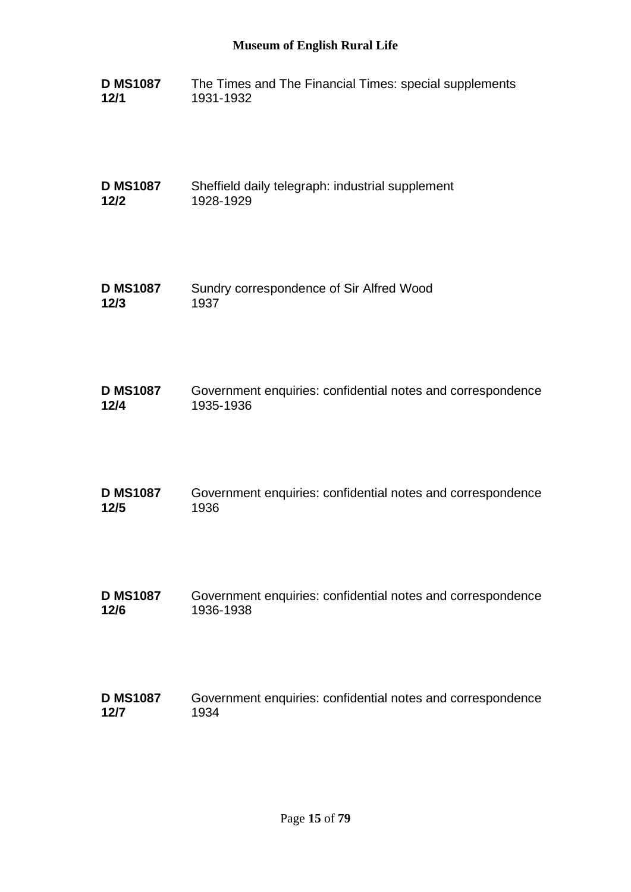| <b>D MS1087</b> | The Times and The Financial Times: special supplements |
|-----------------|--------------------------------------------------------|
| 12/1            | 1931-1932                                              |

**D MS1087 12/2** Sheffield daily telegraph: industrial supplement 1928-1929

**D MS1087 12/3** Sundry correspondence of Sir Alfred Wood 1937

| <b>D MS1087</b> | Government enquiries: confidential notes and correspondence |
|-----------------|-------------------------------------------------------------|
| 12/4            | 1935-1936                                                   |

| <b>D MS1087</b> | Government enquiries: confidential notes and correspondence |
|-----------------|-------------------------------------------------------------|
| 12/5            | 1936                                                        |

**D MS1087 12/6** Government enquiries: confidential notes and correspondence 1936-1938

#### **D MS1087 12/7** Government enquiries: confidential notes and correspondence 1934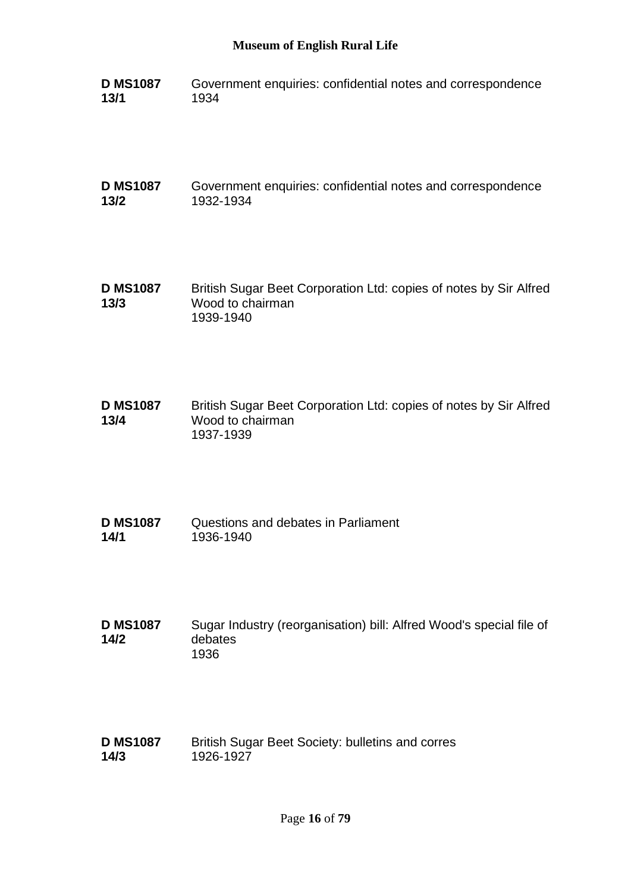**D MS1087 13/1** Government enquiries: confidential notes and correspondence 1934

**D MS1087 13/2** Government enquiries: confidential notes and correspondence 1932-1934

**D MS1087 13/3** British Sugar Beet Corporation Ltd: copies of notes by Sir Alfred Wood to chairman 1939-1940

**D MS1087 13/4** British Sugar Beet Corporation Ltd: copies of notes by Sir Alfred Wood to chairman 1937-1939

**D MS1087 14/1** Questions and debates in Parliament 1936-1940

**D MS1087 14/2** Sugar Industry (reorganisation) bill: Alfred Wood's special file of debates 1936

**D MS1087 14/3** British Sugar Beet Society: bulletins and corres 1926-1927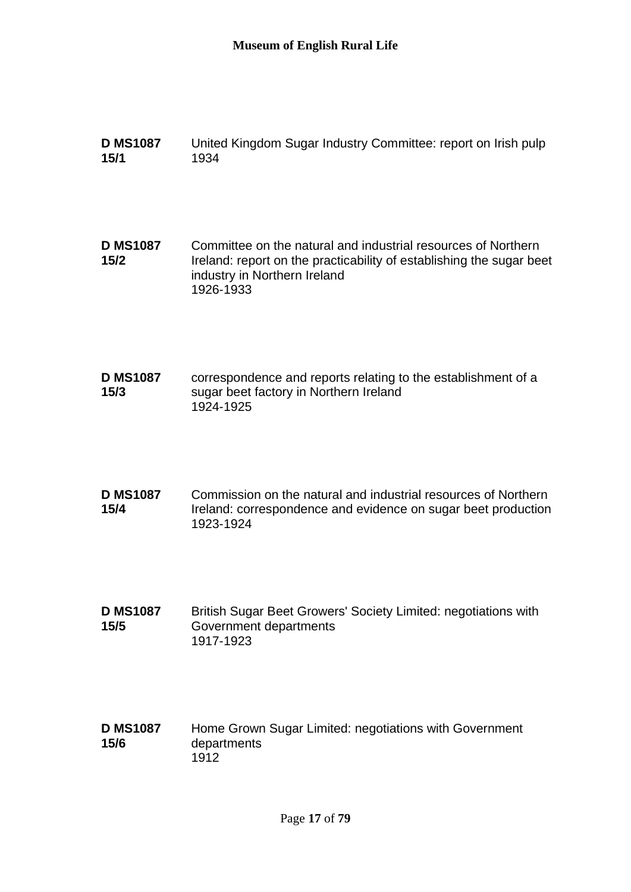| <b>D MS1087</b><br>15/1 | United Kingdom Sugar Industry Committee: report on Irish pulp<br>1934                                                                                                              |
|-------------------------|------------------------------------------------------------------------------------------------------------------------------------------------------------------------------------|
| <b>D MS1087</b><br>15/2 | Committee on the natural and industrial resources of Northern<br>Ireland: report on the practicability of establishing the sugar beet<br>industry in Northern Ireland<br>1926-1933 |
| <b>D MS1087</b><br>15/3 | correspondence and reports relating to the establishment of a<br>sugar beet factory in Northern Ireland<br>1924-1925                                                               |
| <b>D MS1087</b><br>15/4 | Commission on the natural and industrial resources of Northern<br>Ireland: correspondence and evidence on sugar beet production<br>1923-1924                                       |
| <b>D MS1087</b><br>15/5 | British Sugar Beet Growers' Society Limited: negotiations with<br>Government departments<br>1917-1923                                                                              |
| <b>D MS1087</b><br>15/6 | Home Grown Sugar Limited: negotiations with Government<br>departments<br>1912                                                                                                      |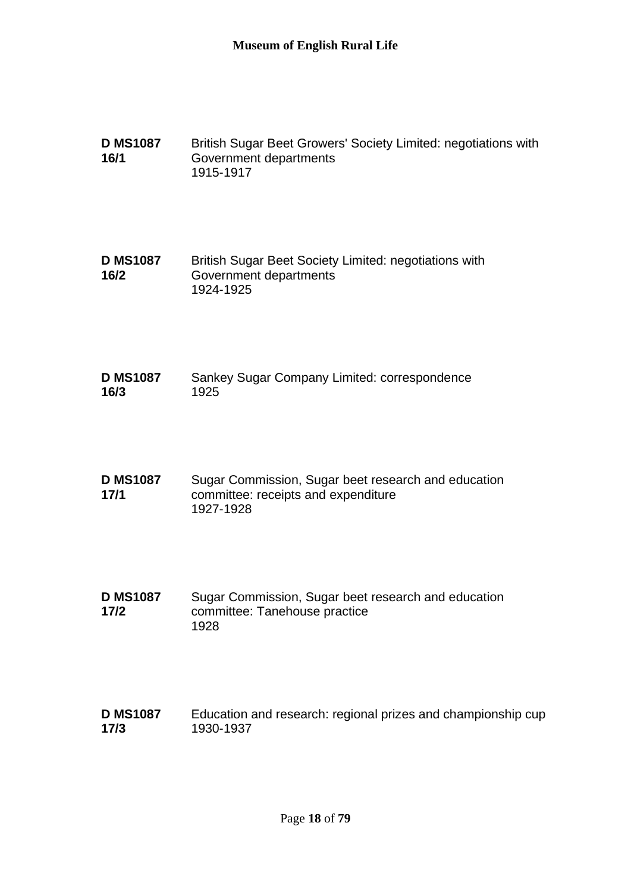**D MS1087 16/1** British Sugar Beet Growers' Society Limited: negotiations with Government departments 1915-1917

**D MS1087 16/2** British Sugar Beet Society Limited: negotiations with Government departments 1924-1925

- **D MS1087 16/3** Sankey Sugar Company Limited: correspondence 1925
- **D MS1087 17/1** Sugar Commission, Sugar beet research and education committee: receipts and expenditure 1927-1928
- **D MS1087 17/2** Sugar Commission, Sugar beet research and education committee: Tanehouse practice 1928
- **D MS1087 17/3** Education and research: regional prizes and championship cup 1930-1937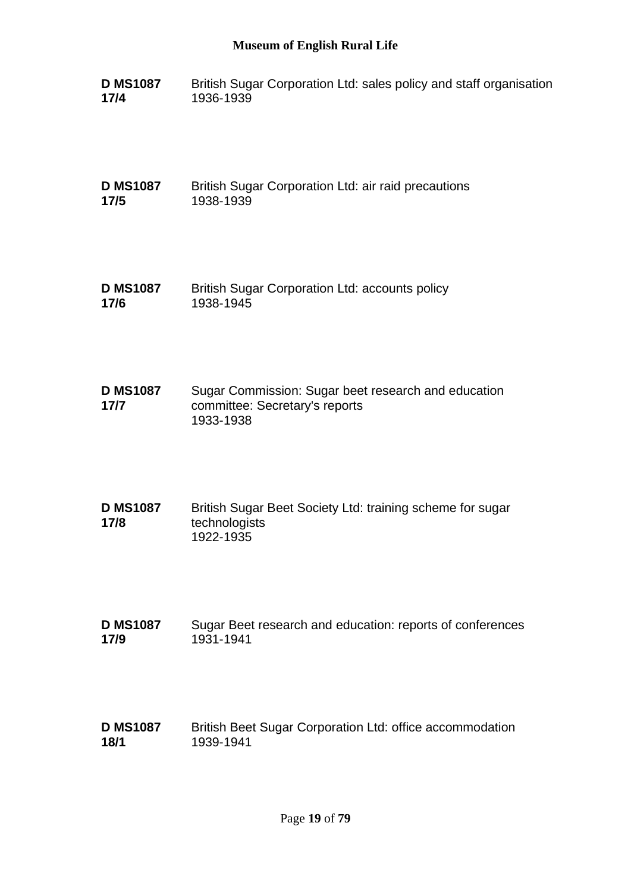**D MS1087 17/4** British Sugar Corporation Ltd: sales policy and staff organisation 1936-1939

**D MS1087 17/5** British Sugar Corporation Ltd: air raid precautions 1938-1939

- **D MS1087 17/6** British Sugar Corporation Ltd: accounts policy 1938-1945
- **D MS1087 17/7** Sugar Commission: Sugar beet research and education committee: Secretary's reports 1933-1938
- **D MS1087 17/8** British Sugar Beet Society Ltd: training scheme for sugar technologists 1922-1935
- **D MS1087 17/9** Sugar Beet research and education: reports of conferences 1931-1941
- **D MS1087 18/1** British Beet Sugar Corporation Ltd: office accommodation 1939-1941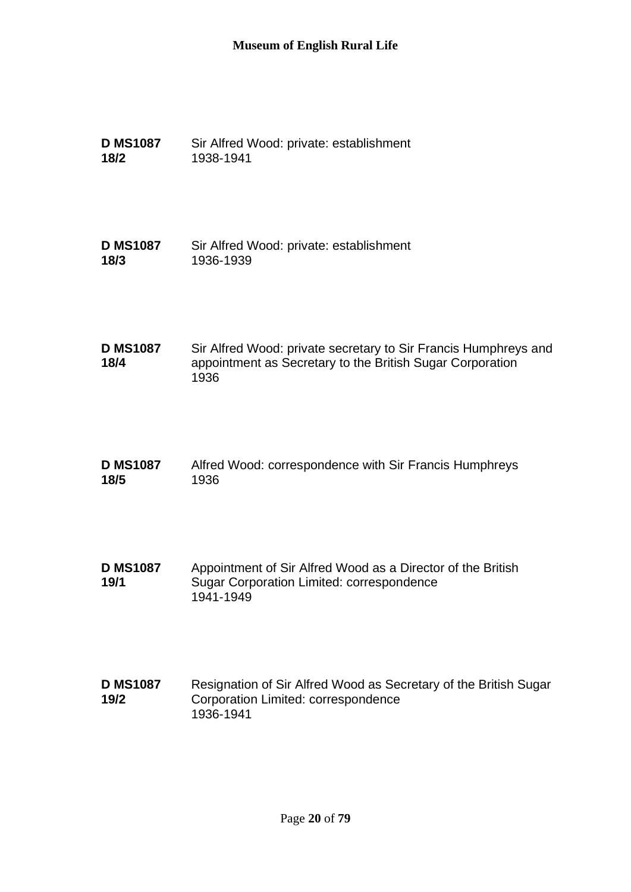| <b>D MS1087</b> | Sir Alfred Wood: private: establishment |
|-----------------|-----------------------------------------|
| 18/2            | 1938-1941                               |

**D MS1087 18/3** Sir Alfred Wood: private: establishment 1936-1939

**D MS1087 18/4** Sir Alfred Wood: private secretary to Sir Francis Humphreys and appointment as Secretary to the British Sugar Corporation 1936

- **D MS1087 18/5** Alfred Wood: correspondence with Sir Francis Humphreys 1936
- **D MS1087 19/1** Appointment of Sir Alfred Wood as a Director of the British Sugar Corporation Limited: correspondence 1941-1949
- **D MS1087 19/2** Resignation of Sir Alfred Wood as Secretary of the British Sugar Corporation Limited: correspondence 1936-1941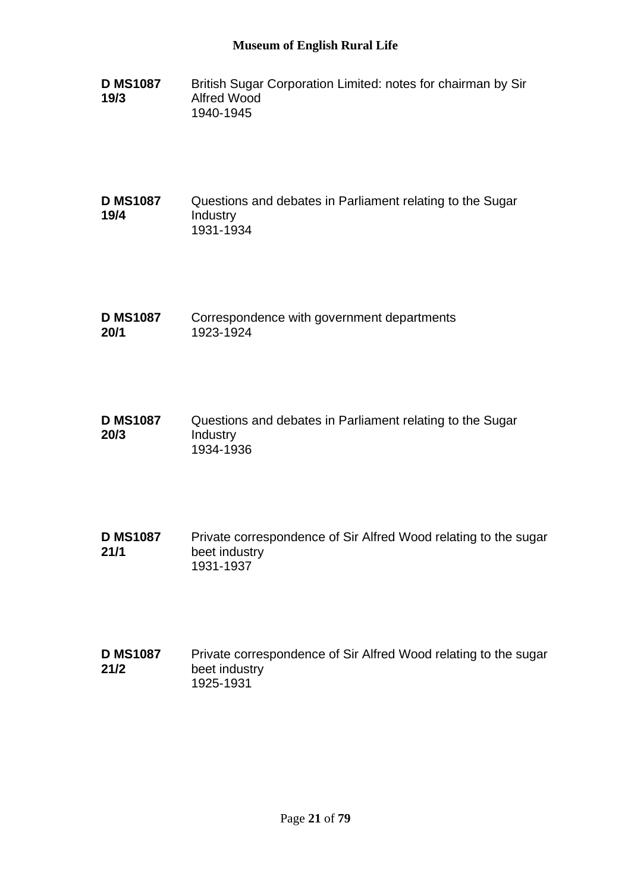- **D MS1087 19/3** British Sugar Corporation Limited: notes for chairman by Sir Alfred Wood 1940-1945
- **D MS1087 19/4** Questions and debates in Parliament relating to the Sugar Industry 1931-1934
- **D MS1087 20/1** Correspondence with government departments 1923-1924
- **D MS1087 20/3** Questions and debates in Parliament relating to the Sugar Industry 1934-1936
- **D MS1087 21/1** Private correspondence of Sir Alfred Wood relating to the sugar beet industry 1931-1937
- **D MS1087 21/2** Private correspondence of Sir Alfred Wood relating to the sugar beet industry 1925-1931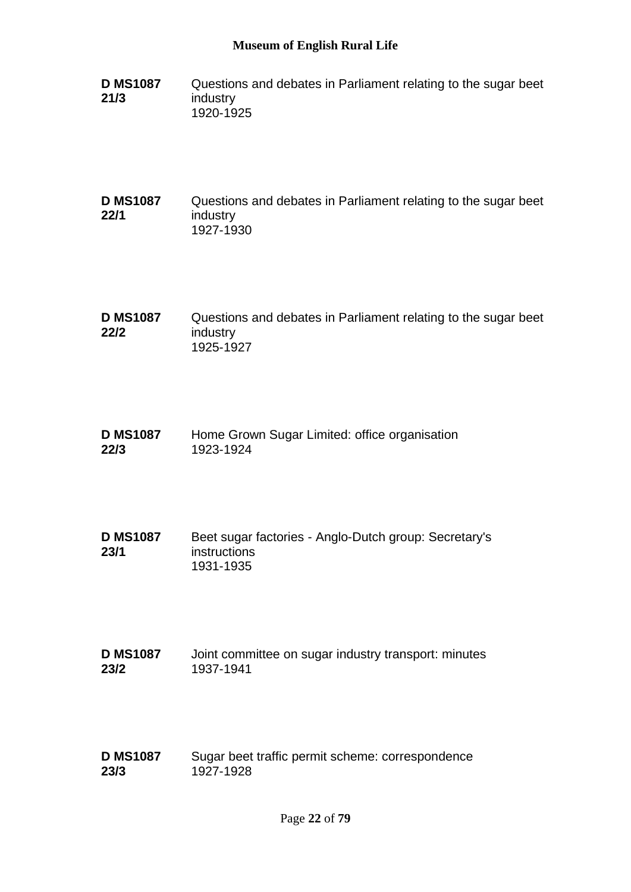**D MS1087 21/3** Questions and debates in Parliament relating to the sugar beet industry 1920-1925

#### **D MS1087 22/1** Questions and debates in Parliament relating to the sugar beet industry 1927-1930

- **D MS1087 22/2** Questions and debates in Parliament relating to the sugar beet industry 1925-1927
- **D MS1087 22/3** Home Grown Sugar Limited: office organisation 1923-1924
- **D MS1087 23/1** Beet sugar factories - Anglo-Dutch group: Secretary's instructions 1931-1935
- **D MS1087 23/2** Joint committee on sugar industry transport: minutes 1937-1941
- **D MS1087 23/3** Sugar beet traffic permit scheme: correspondence 1927-1928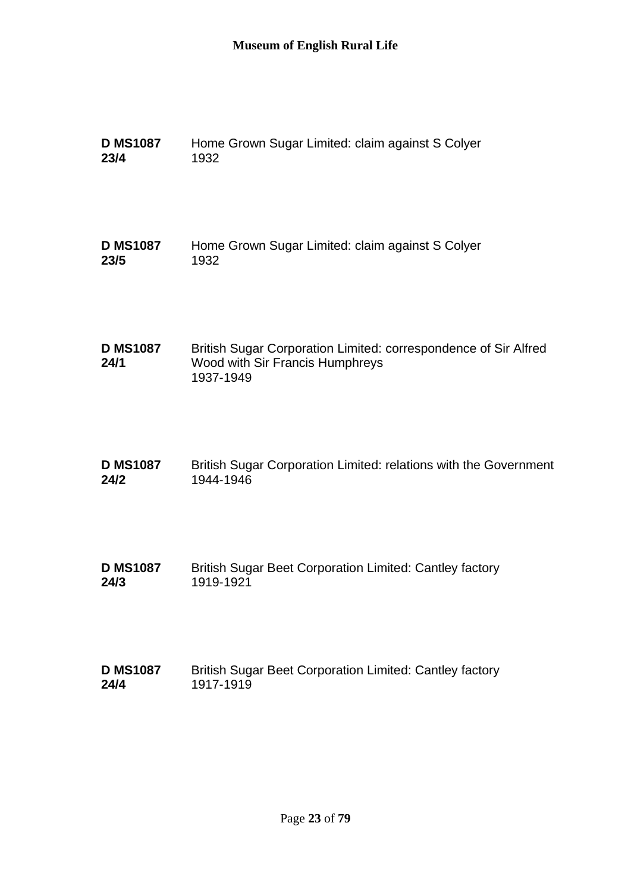| <b>D MS1087</b>         | Home Grown Sugar Limited: claim against S Colyer                                                                |
|-------------------------|-----------------------------------------------------------------------------------------------------------------|
| 23/4                    | 1932                                                                                                            |
| <b>D MS1087</b>         | Home Grown Sugar Limited: claim against S Colyer                                                                |
| 23/5                    | 1932                                                                                                            |
| <b>D MS1087</b><br>24/1 | British Sugar Corporation Limited: correspondence of Sir Alfred<br>Wood with Sir Francis Humphreys<br>1937-1949 |
| <b>D MS1087</b>         | British Sugar Corporation Limited: relations with the Government                                                |
| 24/2                    | 1944-1946                                                                                                       |
| <b>D MS1087</b>         | British Sugar Beet Corporation Limited: Cantley factory                                                         |
| 24/3                    | 1919-1921                                                                                                       |
| <b>D MS1087</b>         | <b>British Sugar Beet Corporation Limited: Cantley factory</b>                                                  |
| 24/4                    | 1917-1919                                                                                                       |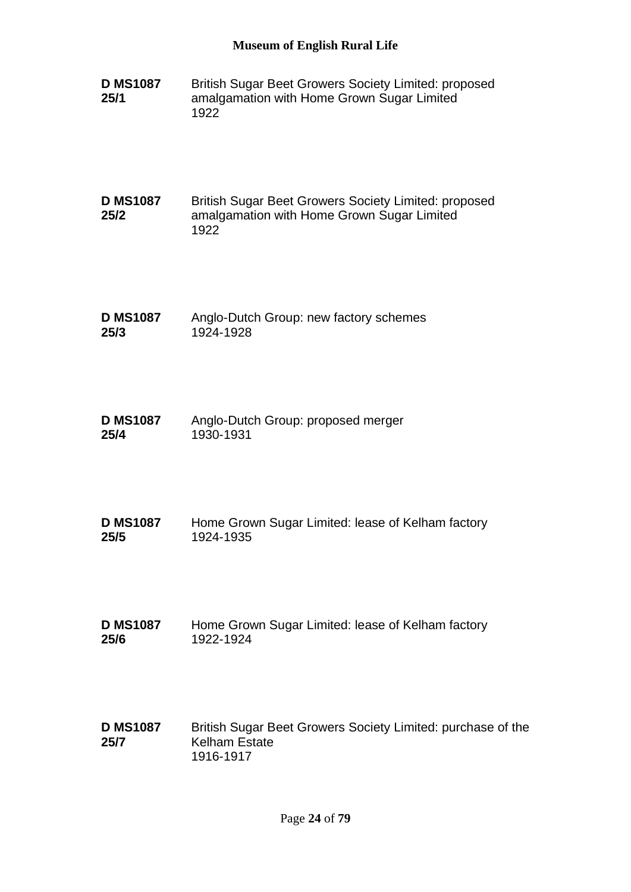**D MS1087 25/1** British Sugar Beet Growers Society Limited: proposed amalgamation with Home Grown Sugar Limited 1922

**D MS1087 25/2** British Sugar Beet Growers Society Limited: proposed amalgamation with Home Grown Sugar Limited 1922

- **D MS1087 25/3** Anglo-Dutch Group: new factory schemes 1924-1928
- **D MS1087 25/4** Anglo-Dutch Group: proposed merger 1930-1931
- **D MS1087 25/5** Home Grown Sugar Limited: lease of Kelham factory 1924-1935
- **D MS1087 25/6** Home Grown Sugar Limited: lease of Kelham factory 1922-1924
- **D MS1087 25/7** British Sugar Beet Growers Society Limited: purchase of the Kelham Estate 1916-1917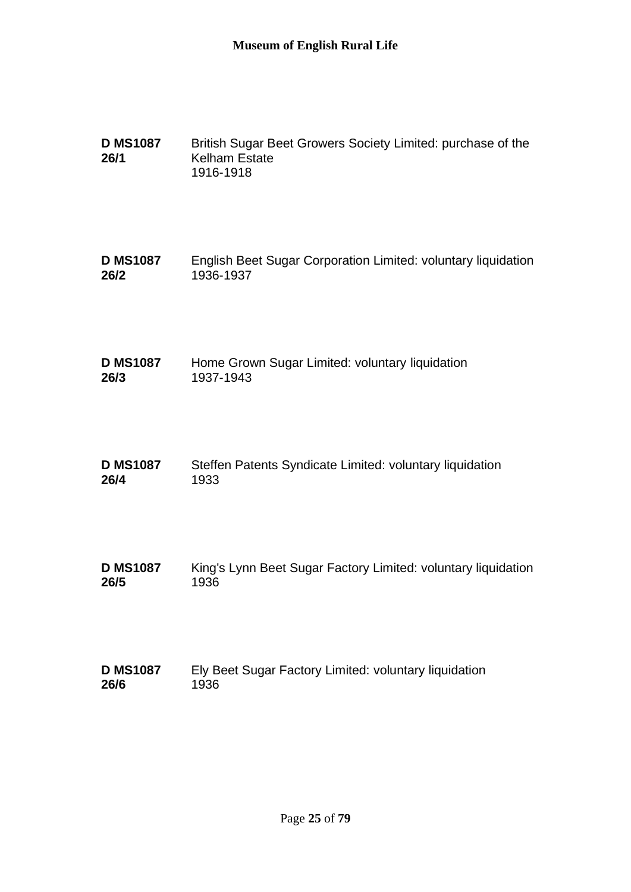| <b>D MS1087</b><br>26/1 | British Sugar Beet Growers Society Limited: purchase of the<br><b>Kelham Estate</b><br>1916-1918 |
|-------------------------|--------------------------------------------------------------------------------------------------|
| <b>D MS1087</b>         | English Beet Sugar Corporation Limited: voluntary liquidation                                    |
| 26/2                    | 1936-1937                                                                                        |
| <b>D MS1087</b>         | Home Grown Sugar Limited: voluntary liquidation                                                  |
| 26/3                    | 1937-1943                                                                                        |
| <b>D MS1087</b>         | Steffen Patents Syndicate Limited: voluntary liquidation                                         |
| 26/4                    | 1933                                                                                             |
| <b>D MS1087</b>         | King's Lynn Beet Sugar Factory Limited: voluntary liquidation                                    |
| 26/5                    | 1936                                                                                             |
| <b>D MS1087</b>         | Ely Beet Sugar Factory Limited: voluntary liquidation                                            |
| 26/6                    | 1936                                                                                             |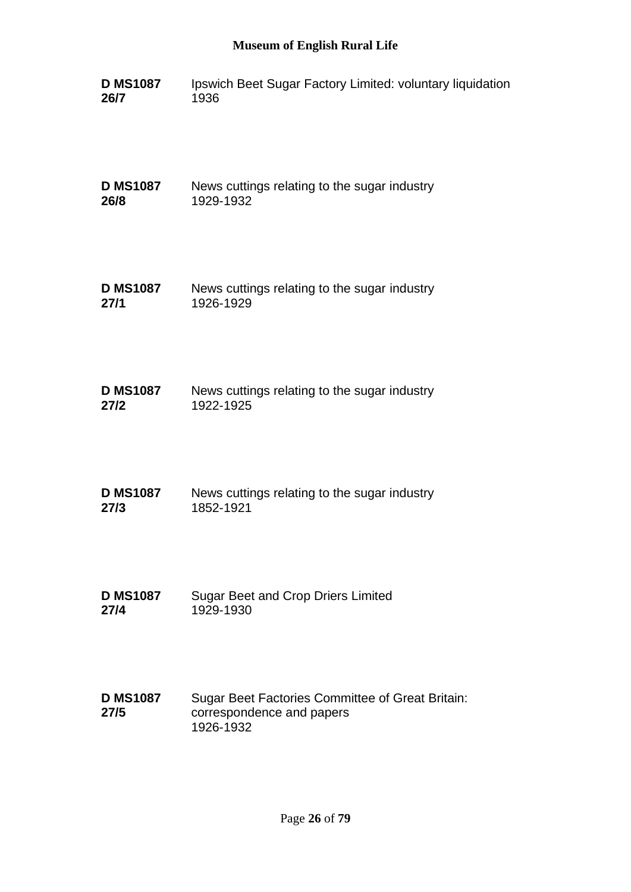| <b>D MS1087</b> | Ipswich Beet Sugar Factory Limited: voluntary liquidation |
|-----------------|-----------------------------------------------------------|
| 26/7            | 1936                                                      |

**D MS1087 26/8** News cuttings relating to the sugar industry 1929-1932

| <b>D MS1087</b> | News cuttings relating to the sugar industry |
|-----------------|----------------------------------------------|
| 27/1            | 1926-1929                                    |

| <b>D MS1087</b> | News cuttings relating to the sugar industry |
|-----------------|----------------------------------------------|
| 27/2            | 1922-1925                                    |

| <b>D MS1087</b> | News cuttings relating to the sugar industry |
|-----------------|----------------------------------------------|
| 27/3            | 1852-1921                                    |

**D MS1087 27/4** Sugar Beet and Crop Driers Limited 1929-1930

#### **D MS1087 27/5** Sugar Beet Factories Committee of Great Britain: correspondence and papers 1926-1932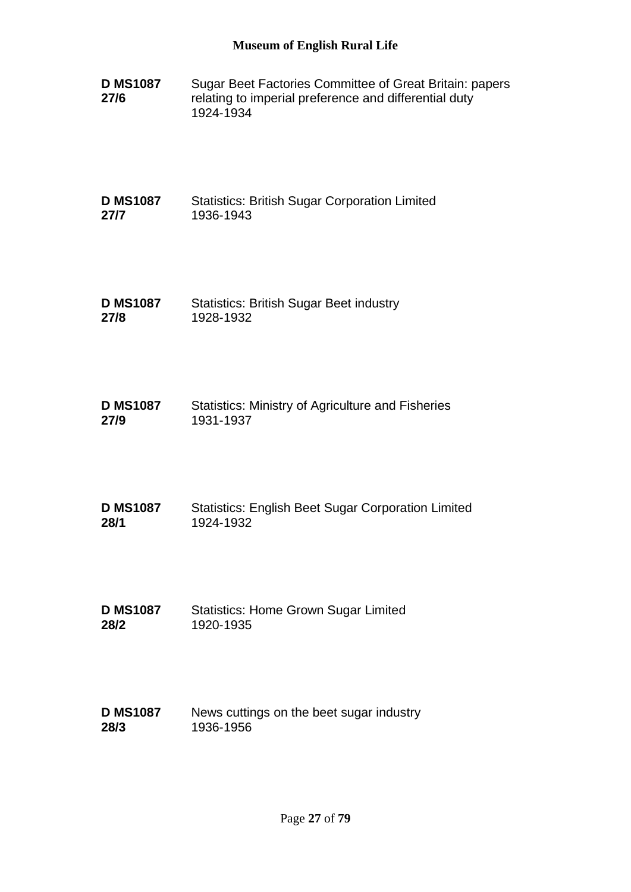| <b>D MS1087</b> | Sugar Beet Factories Committee of Great Britain: papers |
|-----------------|---------------------------------------------------------|
| 27/6            | relating to imperial preference and differential duty   |
|                 | 1924-1934                                               |

**D MS1087 27/7** Statistics: British Sugar Corporation Limited 1936-1943

- **D MS1087 27/8** Statistics: British Sugar Beet industry 1928-1932
- **D MS1087 27/9** Statistics: Ministry of Agriculture and Fisheries 1931-1937
- **D MS1087 28/1** Statistics: English Beet Sugar Corporation Limited 1924-1932
- **D MS1087 28/2** Statistics: Home Grown Sugar Limited 1920-1935
- **D MS1087 28/3** News cuttings on the beet sugar industry 1936-1956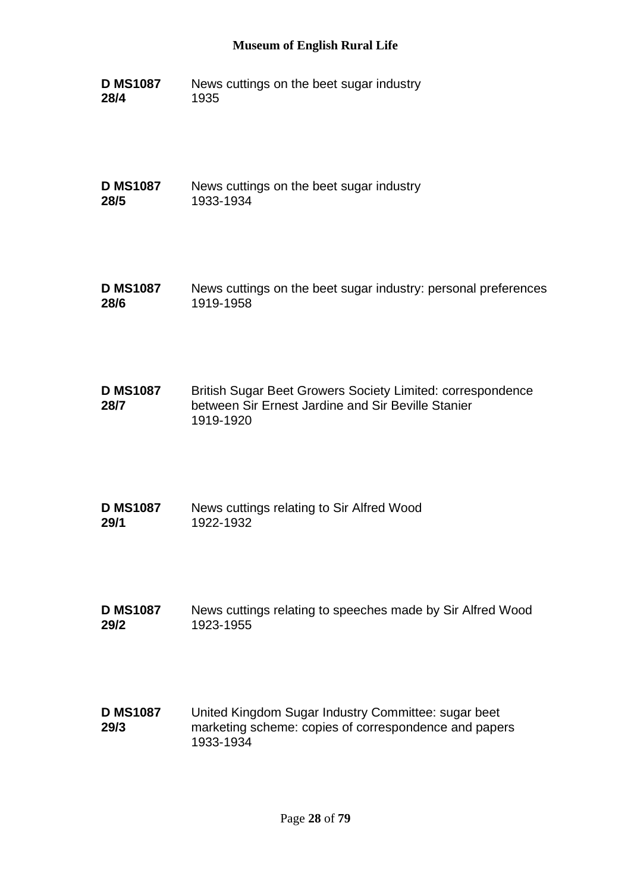**D MS1087 28/4** News cuttings on the beet sugar industry 1935

**D MS1087 28/5** News cuttings on the beet sugar industry 1933-1934

- **D MS1087 28/6** News cuttings on the beet sugar industry: personal preferences 1919-1958
- **D MS1087 28/7** British Sugar Beet Growers Society Limited: correspondence between Sir Ernest Jardine and Sir Beville Stanier 1919-1920
- **D MS1087 29/1** News cuttings relating to Sir Alfred Wood 1922-1932
- **D MS1087 29/2** News cuttings relating to speeches made by Sir Alfred Wood 1923-1955
- **D MS1087 29/3** United Kingdom Sugar Industry Committee: sugar beet marketing scheme: copies of correspondence and papers 1933-1934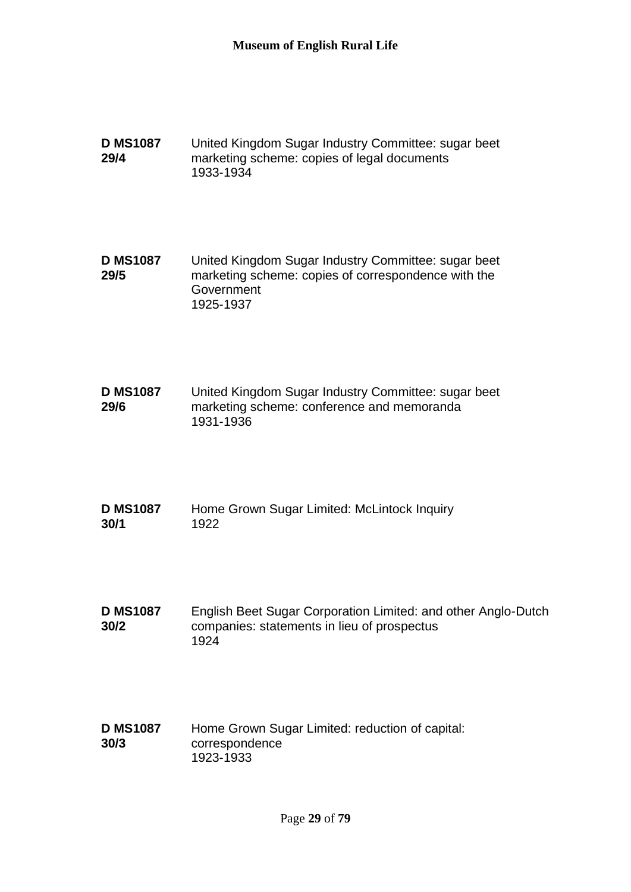**D MS1087 29/4** United Kingdom Sugar Industry Committee: sugar beet marketing scheme: copies of legal documents 1933-1934

**D MS1087 29/5** United Kingdom Sugar Industry Committee: sugar beet marketing scheme: copies of correspondence with the **Government** 1925-1937

**D MS1087 29/6** United Kingdom Sugar Industry Committee: sugar beet marketing scheme: conference and memoranda 1931-1936

| <b>D MS1087</b> | Home Grown Sugar Limited: McLintock Inquiry |
|-----------------|---------------------------------------------|
| 30/1            | 1922                                        |

**D MS1087 30/2** English Beet Sugar Corporation Limited: and other Anglo-Dutch companies: statements in lieu of prospectus 1924

**D MS1087 30/3** Home Grown Sugar Limited: reduction of capital: correspondence 1923-1933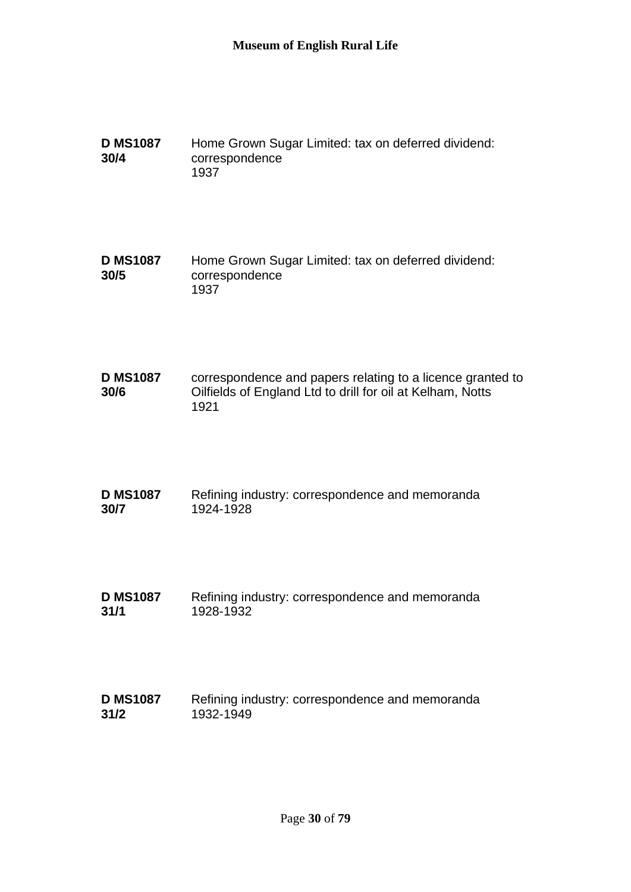| <b>D MS1087</b> | Home Grown Sugar Limited: tax on deferred dividend: |
|-----------------|-----------------------------------------------------|
| 30/4            | correspondence                                      |
|                 | 1937                                                |

**D MS1087 30/5** Home Grown Sugar Limited: tax on deferred dividend: correspondence 1937

**D MS1087 30/6** correspondence and papers relating to a licence granted to Oilfields of England Ltd to drill for oil at Kelham, Notts 1921

| <b>D MS1087</b> | Refining industry: correspondence and memoranda |
|-----------------|-------------------------------------------------|
| 30/7            | 1924-1928                                       |

**D MS1087 31/1** Refining industry: correspondence and memoranda 1928-1932

| <b>D MS1087</b> | Refining industry: correspondence and memoranda |
|-----------------|-------------------------------------------------|
| 31/2            | 1932-1949                                       |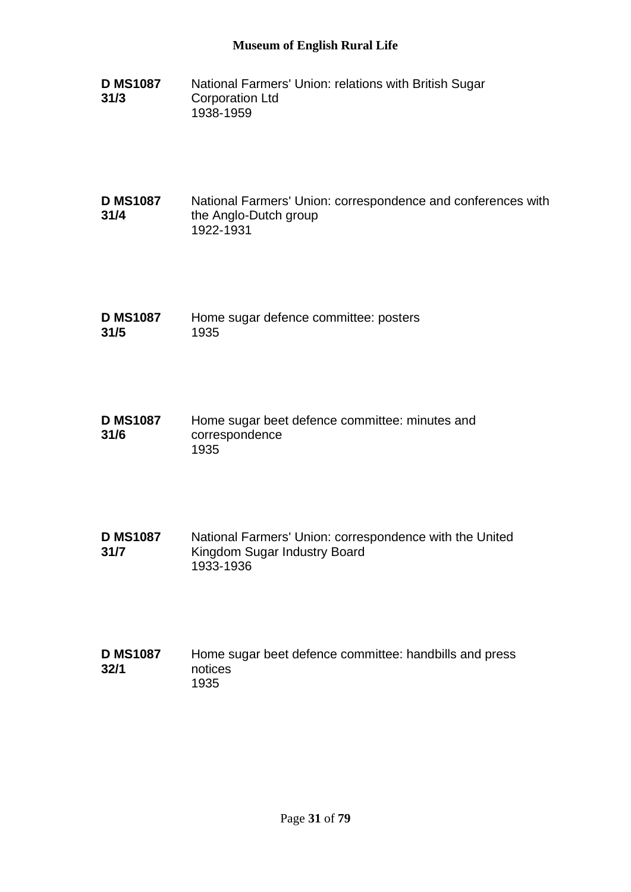- **D MS1087 31/3** National Farmers' Union: relations with British Sugar Corporation Ltd 1938-1959
- **D MS1087 31/4** National Farmers' Union: correspondence and conferences with the Anglo-Dutch group 1922-1931
- **D MS1087 31/5** Home sugar defence committee: posters 1935
- **D MS1087 31/6** Home sugar beet defence committee: minutes and correspondence 1935
- **D MS1087 31/7** National Farmers' Union: correspondence with the United Kingdom Sugar Industry Board 1933-1936
- **D MS1087 32/1** Home sugar beet defence committee: handbills and press notices 1935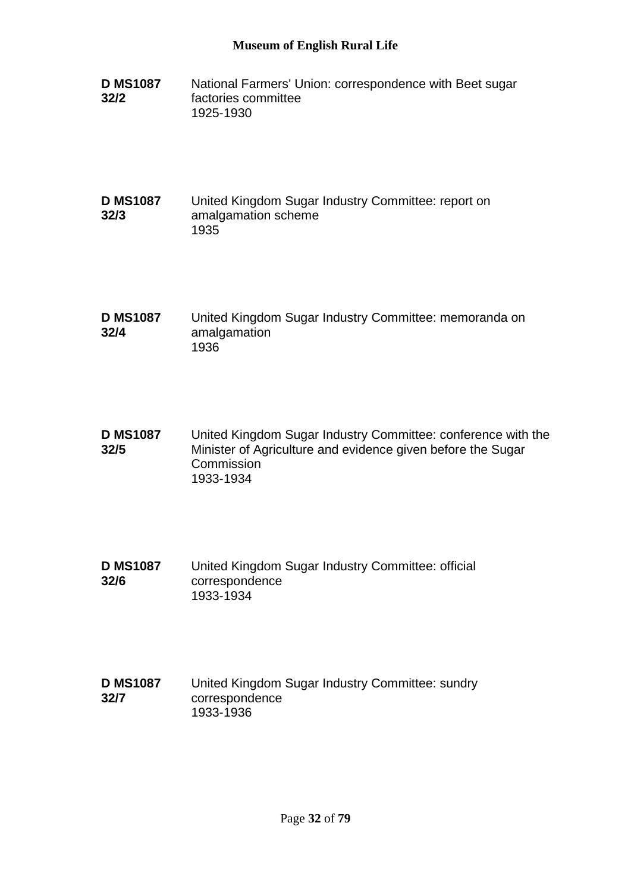**D MS1087 32/2** National Farmers' Union: correspondence with Beet sugar factories committee 1925-1930

#### **D MS1087 32/3** United Kingdom Sugar Industry Committee: report on amalgamation scheme 1935

- **D MS1087 32/4** United Kingdom Sugar Industry Committee: memoranda on amalgamation 1936
- **D MS1087 32/5** United Kingdom Sugar Industry Committee: conference with the Minister of Agriculture and evidence given before the Sugar **Commission** 1933-1934
- **D MS1087 32/6** United Kingdom Sugar Industry Committee: official correspondence 1933-1934

#### **D MS1087 32/7** United Kingdom Sugar Industry Committee: sundry correspondence 1933-1936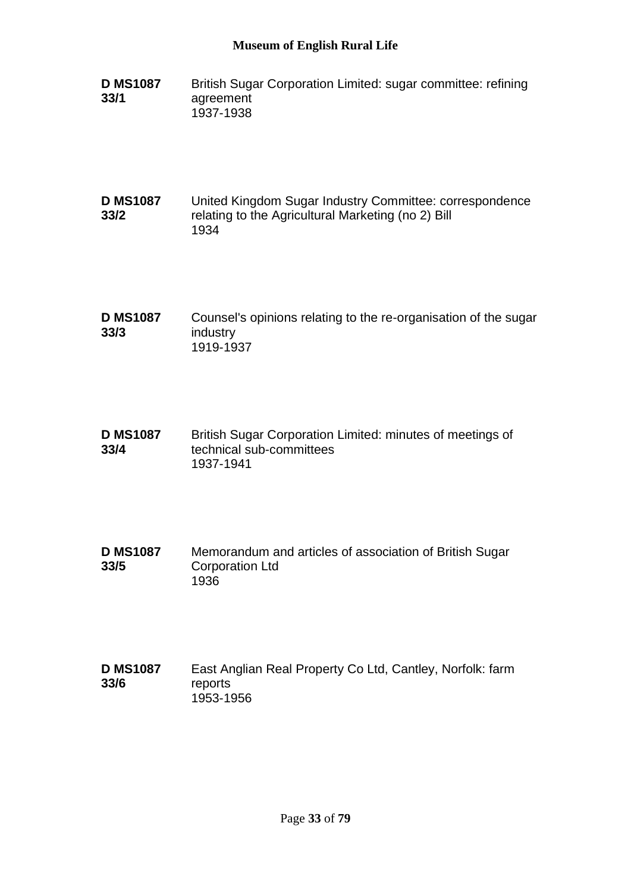**D MS1087 33/1** British Sugar Corporation Limited: sugar committee: refining agreement 1937-1938

#### **D MS1087 33/2** United Kingdom Sugar Industry Committee: correspondence relating to the Agricultural Marketing (no 2) Bill 1934

- **D MS1087 33/3** Counsel's opinions relating to the re-organisation of the sugar industry 1919-1937
- **D MS1087 33/4** British Sugar Corporation Limited: minutes of meetings of technical sub-committees 1937-1941
- **D MS1087 33/5** Memorandum and articles of association of British Sugar Corporation Ltd 1936
- **D MS1087 33/6** East Anglian Real Property Co Ltd, Cantley, Norfolk: farm reports 1953-1956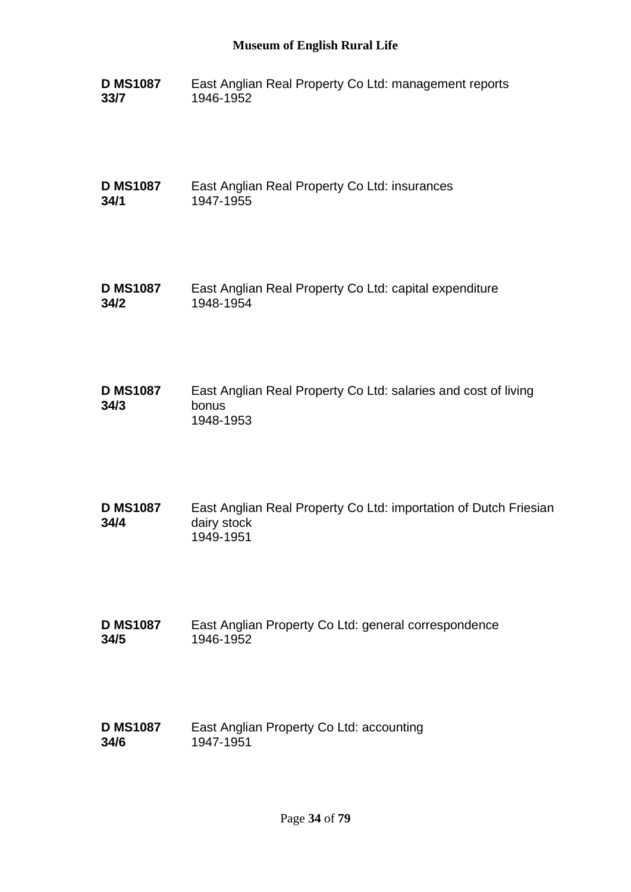**D MS1087 33/7** East Anglian Real Property Co Ltd: management reports 1946-1952

**D MS1087 34/1** East Anglian Real Property Co Ltd: insurances 1947-1955

- **D MS1087 34/2** East Anglian Real Property Co Ltd: capital expenditure 1948-1954
- **D MS1087 34/3** East Anglian Real Property Co Ltd: salaries and cost of living bonus 1948-1953
- **D MS1087 34/4** East Anglian Real Property Co Ltd: importation of Dutch Friesian dairy stock 1949-1951
- **D MS1087 34/5** East Anglian Property Co Ltd: general correspondence 1946-1952
- **D MS1087 34/6** East Anglian Property Co Ltd: accounting 1947-1951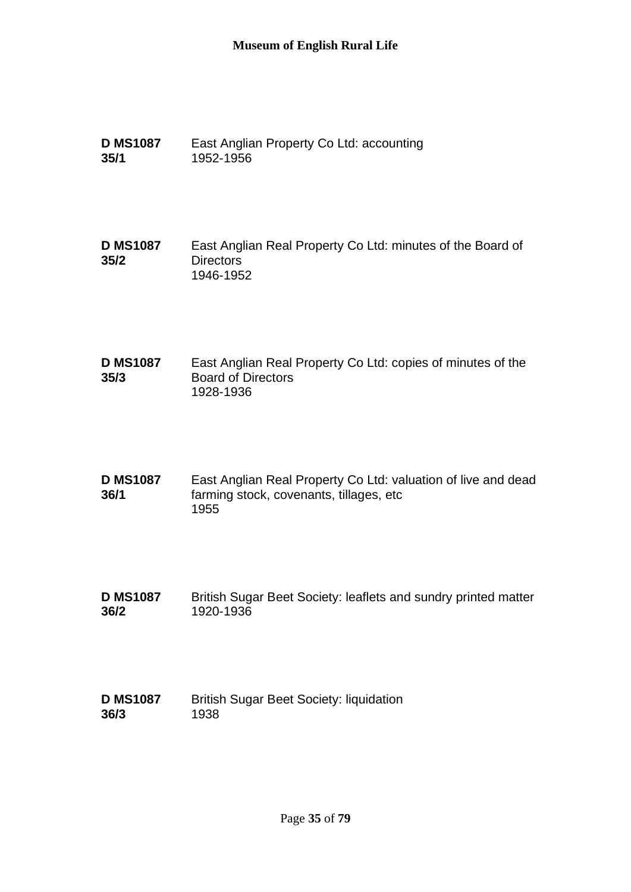- **D MS1087 35/1** East Anglian Property Co Ltd: accounting 1952-1956
- **D MS1087 35/2** East Anglian Real Property Co Ltd: minutes of the Board of **Directors** 1946-1952
- **D MS1087 35/3** East Anglian Real Property Co Ltd: copies of minutes of the Board of Directors 1928-1936
- **D MS1087 36/1** East Anglian Real Property Co Ltd: valuation of live and dead farming stock, covenants, tillages, etc 1955
- **D MS1087 36/2** British Sugar Beet Society: leaflets and sundry printed matter 1920-1936
- **D MS1087 36/3** British Sugar Beet Society: liquidation 1938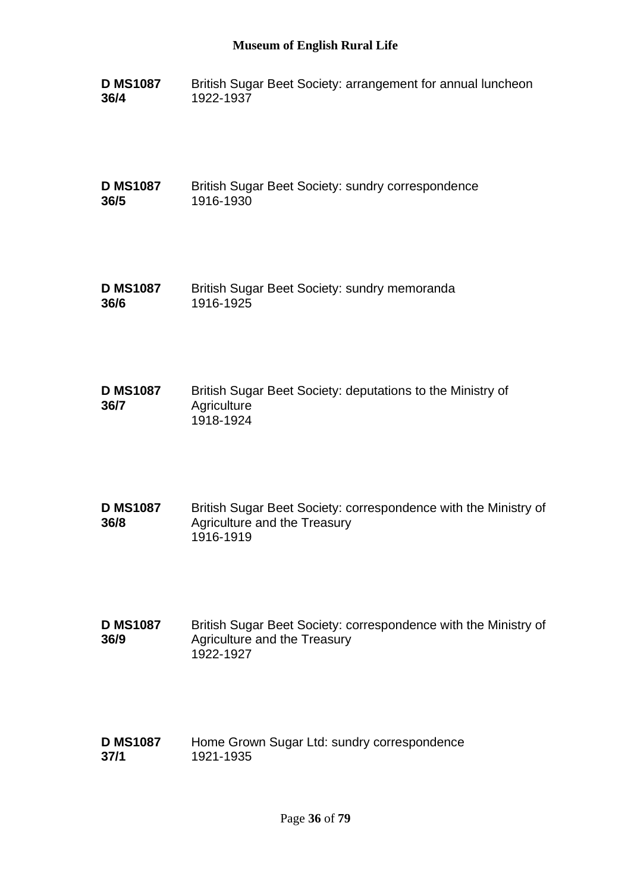**D MS1087 36/4** British Sugar Beet Society: arrangement for annual luncheon 1922-1937

**D MS1087 36/5** British Sugar Beet Society: sundry correspondence 1916-1930

- **D MS1087 36/6** British Sugar Beet Society: sundry memoranda 1916-1925
- **D MS1087 36/7** British Sugar Beet Society: deputations to the Ministry of **Agriculture** 1918-1924
- **D MS1087 36/8** British Sugar Beet Society: correspondence with the Ministry of Agriculture and the Treasury 1916-1919
- **D MS1087 36/9** British Sugar Beet Society: correspondence with the Ministry of Agriculture and the Treasury 1922-1927
- **D MS1087 37/1** Home Grown Sugar Ltd: sundry correspondence 1921-1935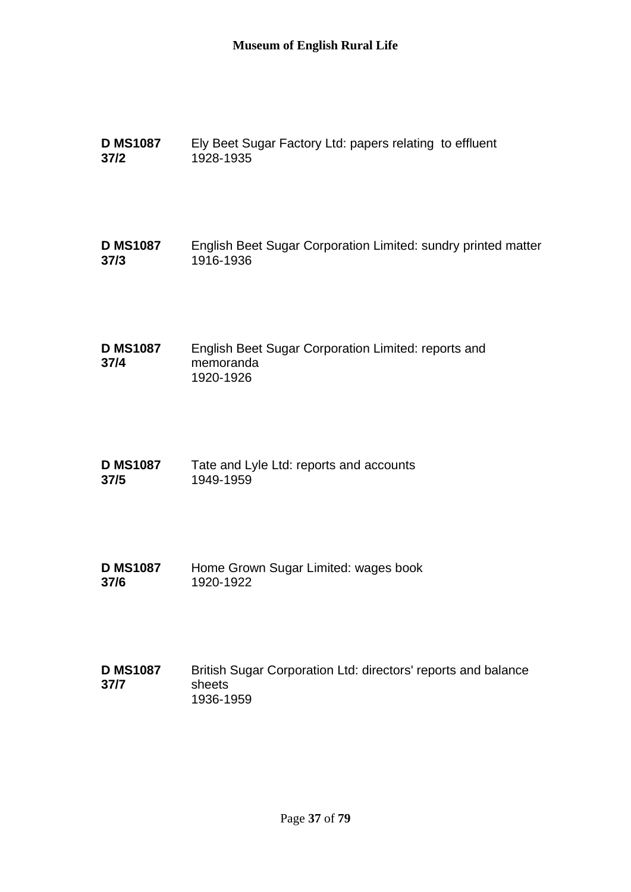| <b>D MS1087</b>         | Ely Beet Sugar Factory Ltd: papers relating to effluent                              |
|-------------------------|--------------------------------------------------------------------------------------|
| $37/2$                  | 1928-1935                                                                            |
| <b>D MS1087</b>         | English Beet Sugar Corporation Limited: sundry printed matter                        |
| 37/3                    | 1916-1936                                                                            |
| <b>D MS1087</b><br>37/4 | English Beet Sugar Corporation Limited: reports and<br>memoranda<br>1920-1926        |
| <b>D MS1087</b>         | Tate and Lyle Ltd: reports and accounts                                              |
| 37/5                    | 1949-1959                                                                            |
| <b>D MS1087</b>         | Home Grown Sugar Limited: wages book                                                 |
| 37/6                    | 1920-1922                                                                            |
| <b>D MS1087</b><br>37/7 | British Sugar Corporation Ltd: directors' reports and balance<br>sheets<br>1936-1959 |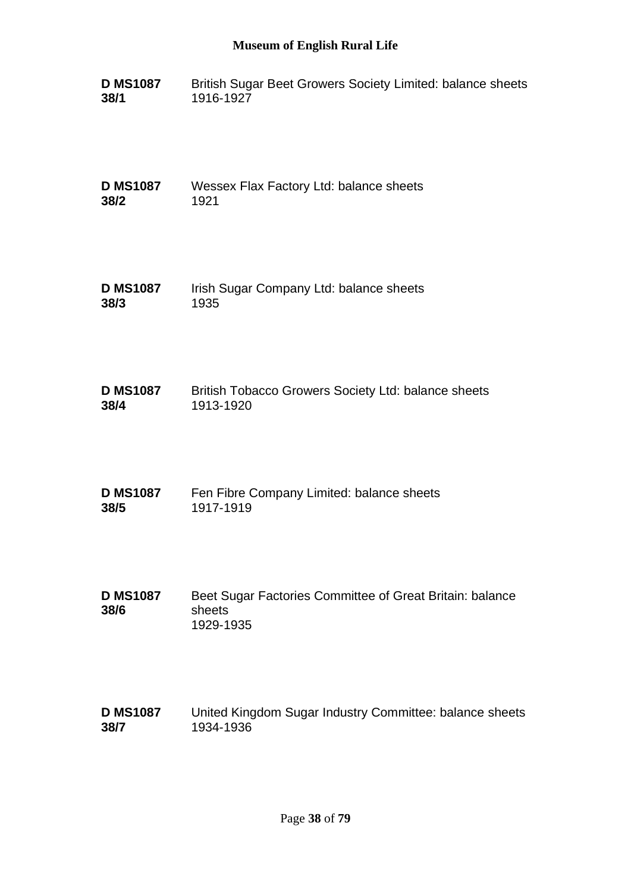**D MS1087 38/1** British Sugar Beet Growers Society Limited: balance sheets 1916-1927

**D MS1087 38/2** Wessex Flax Factory Ltd: balance sheets 1921

- **D MS1087 38/3** Irish Sugar Company Ltd: balance sheets 1935
- **D MS1087 38/4** British Tobacco Growers Society Ltd: balance sheets 1913-1920
- **D MS1087 38/5** Fen Fibre Company Limited: balance sheets 1917-1919
- **D MS1087 38/6** Beet Sugar Factories Committee of Great Britain: balance sheets 1929-1935
- **D MS1087 38/7** United Kingdom Sugar Industry Committee: balance sheets 1934-1936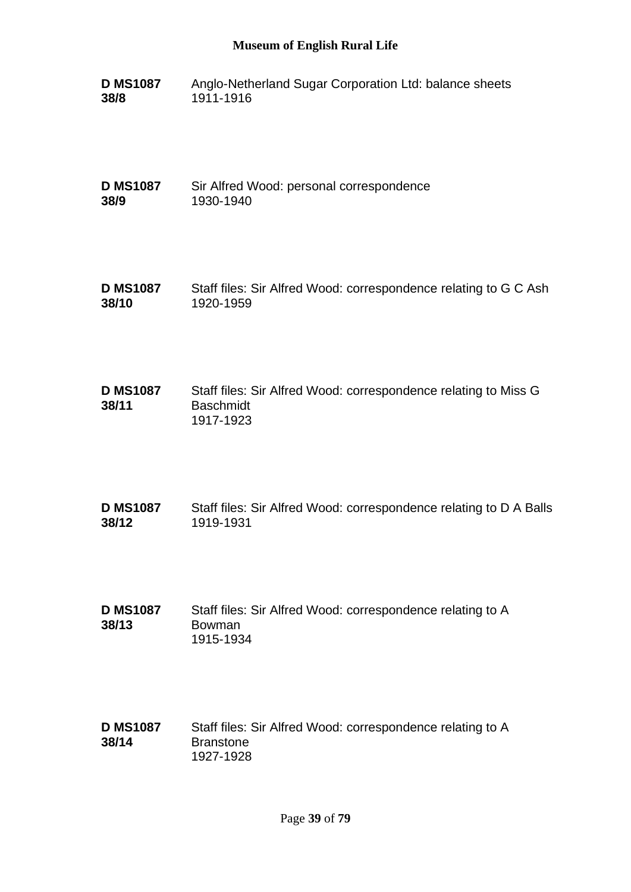**D MS1087 38/8** Anglo-Netherland Sugar Corporation Ltd: balance sheets 1911-1916

**D MS1087 38/9** Sir Alfred Wood: personal correspondence 1930-1940

- **D MS1087 38/10** Staff files: Sir Alfred Wood: correspondence relating to G C Ash 1920-1959
- **D MS1087 38/11** Staff files: Sir Alfred Wood: correspondence relating to Miss G **Baschmidt** 1917-1923
- **D MS1087 38/12** Staff files: Sir Alfred Wood: correspondence relating to D A Balls 1919-1931
- **D MS1087 38/13** Staff files: Sir Alfred Wood: correspondence relating to A Bowman 1915-1934
- **D MS1087 38/14** Staff files: Sir Alfred Wood: correspondence relating to A Branstone 1927-1928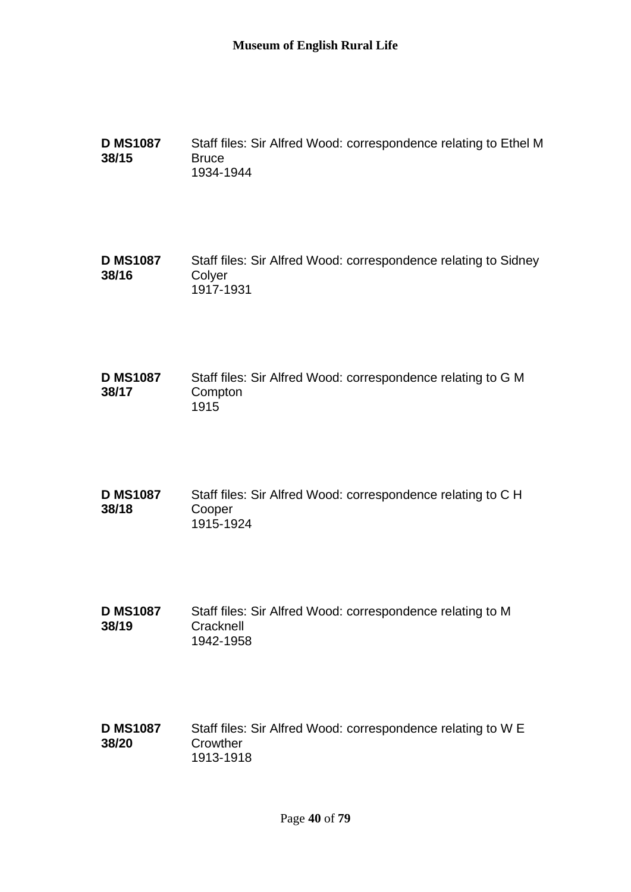**D MS1087 38/15** Staff files: Sir Alfred Wood: correspondence relating to Ethel M **Bruce** 1934-1944

**D MS1087 38/16** Staff files: Sir Alfred Wood: correspondence relating to Sidney **Colver** 1917-1931

- **D MS1087 38/17** Staff files: Sir Alfred Wood: correspondence relating to G M **Compton** 1915
- **D MS1087 38/18** Staff files: Sir Alfred Wood: correspondence relating to C H Cooper 1915-1924
- **D MS1087 38/19** Staff files: Sir Alfred Wood: correspondence relating to M **Cracknell** 1942-1958
- **D MS1087 38/20** Staff files: Sir Alfred Wood: correspondence relating to W E **Crowther** 1913-1918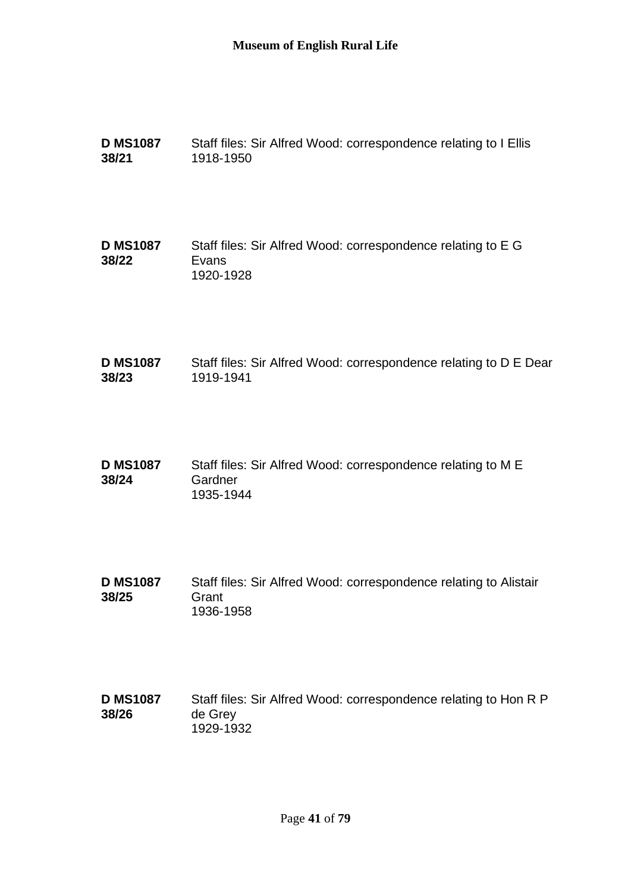| <b>D MS1087</b> | Staff files: Sir Alfred Wood: correspondence relating to I Ellis |
|-----------------|------------------------------------------------------------------|
| 38/21           | 1918-1950                                                        |

**D MS1087 38/22** Staff files: Sir Alfred Wood: correspondence relating to E G Evans 1920-1928

- **D MS1087 38/23** Staff files: Sir Alfred Wood: correspondence relating to D E Dear 1919-1941
- **D MS1087 38/24** Staff files: Sir Alfred Wood: correspondence relating to M E **Gardner** 1935-1944
- **D MS1087 38/25** Staff files: Sir Alfred Wood: correspondence relating to Alistair **Grant** 1936-1958
- **D MS1087 38/26** Staff files: Sir Alfred Wood: correspondence relating to Hon R P de Grey 1929-1932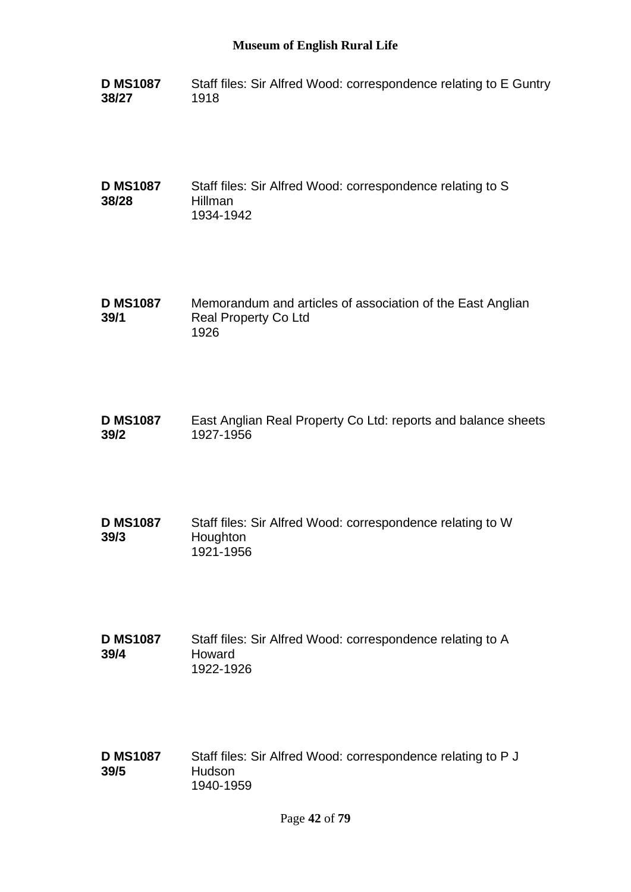**D MS1087 38/27** Staff files: Sir Alfred Wood: correspondence relating to E Guntry 1918

**D MS1087 38/28** Staff files: Sir Alfred Wood: correspondence relating to S Hillman 1934-1942

**D MS1087 39/1** Memorandum and articles of association of the East Anglian Real Property Co Ltd 1926

**D MS1087 39/2** East Anglian Real Property Co Ltd: reports and balance sheets 1927-1956

**D MS1087 39/3** Staff files: Sir Alfred Wood: correspondence relating to W Houghton 1921-1956

**D MS1087 39/4** Staff files: Sir Alfred Wood: correspondence relating to A Howard 1922-1926

**D MS1087 39/5** Staff files: Sir Alfred Wood: correspondence relating to P J Hudson 1940-1959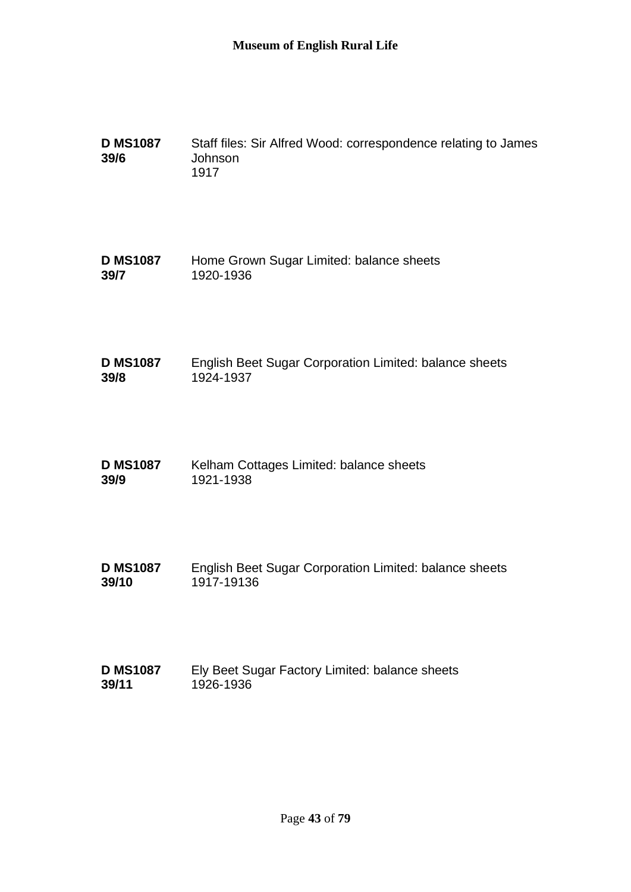| <b>D MS1087</b><br>39/6 | Staff files: Sir Alfred Wood: correspondence relating to James<br>Johnson<br>1917 |
|-------------------------|-----------------------------------------------------------------------------------|
| <b>D MS1087</b>         | Home Grown Sugar Limited: balance sheets                                          |
| 39/7                    | 1920-1936                                                                         |
| <b>D MS1087</b>         | English Beet Sugar Corporation Limited: balance sheets                            |
| 39/8                    | 1924-1937                                                                         |
| <b>D MS1087</b>         | Kelham Cottages Limited: balance sheets                                           |
| 39/9                    | 1921-1938                                                                         |
| <b>D MS1087</b>         | English Beet Sugar Corporation Limited: balance sheets                            |
| 39/10                   | 1917-19136                                                                        |
| <b>D MS1087</b>         | Ely Beet Sugar Factory Limited: balance sheets                                    |
| 39/11                   | 1926-1936                                                                         |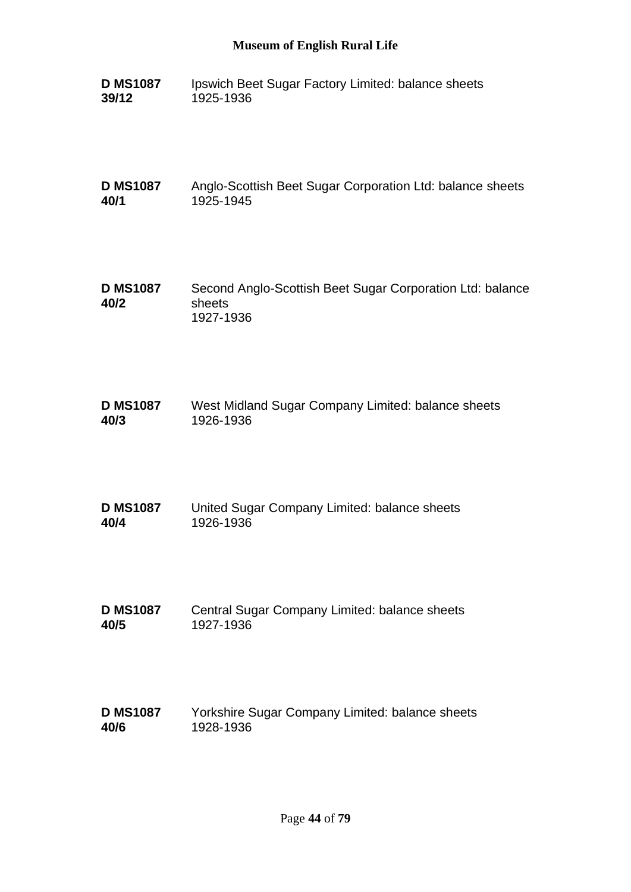**D MS1087 39/12** Ipswich Beet Sugar Factory Limited: balance sheets 1925-1936

**D MS1087 40/1** Anglo-Scottish Beet Sugar Corporation Ltd: balance sheets 1925-1945

- **D MS1087 40/2** Second Anglo-Scottish Beet Sugar Corporation Ltd: balance sheets 1927-1936
- **D MS1087 40/3** West Midland Sugar Company Limited: balance sheets 1926-1936
- **D MS1087 40/4** United Sugar Company Limited: balance sheets 1926-1936
- **D MS1087 40/5** Central Sugar Company Limited: balance sheets 1927-1936
- **D MS1087 40/6** Yorkshire Sugar Company Limited: balance sheets 1928-1936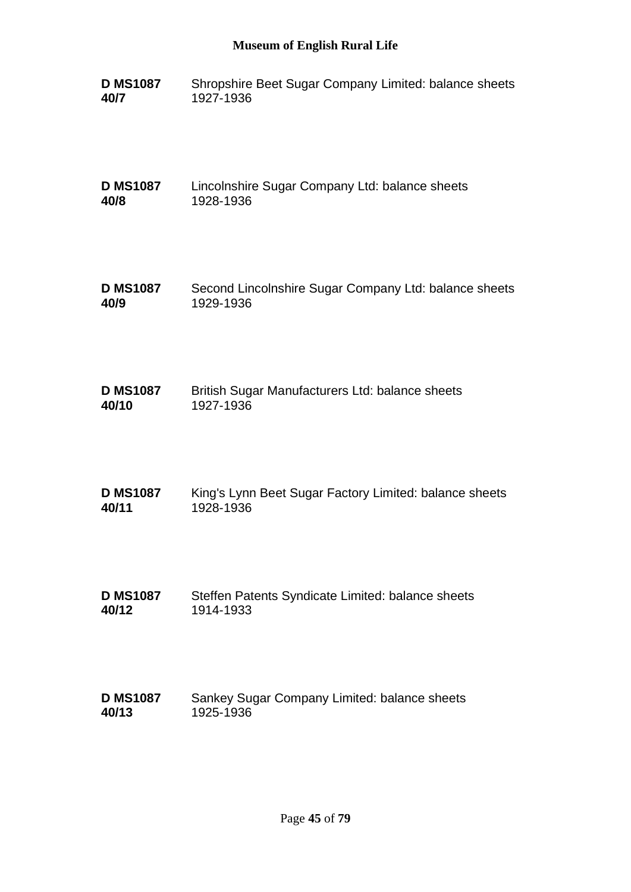**D MS1087 40/7** Shropshire Beet Sugar Company Limited: balance sheets 1927-1936

**D MS1087 40/8** Lincolnshire Sugar Company Ltd: balance sheets 1928-1936

- **D MS1087 40/9** Second Lincolnshire Sugar Company Ltd: balance sheets 1929-1936
- **D MS1087 40/10** British Sugar Manufacturers Ltd: balance sheets 1927-1936
- **D MS1087 40/11** King's Lynn Beet Sugar Factory Limited: balance sheets 1928-1936
- **D MS1087 40/12** Steffen Patents Syndicate Limited: balance sheets 1914-1933
- **D MS1087 40/13** Sankey Sugar Company Limited: balance sheets 1925-1936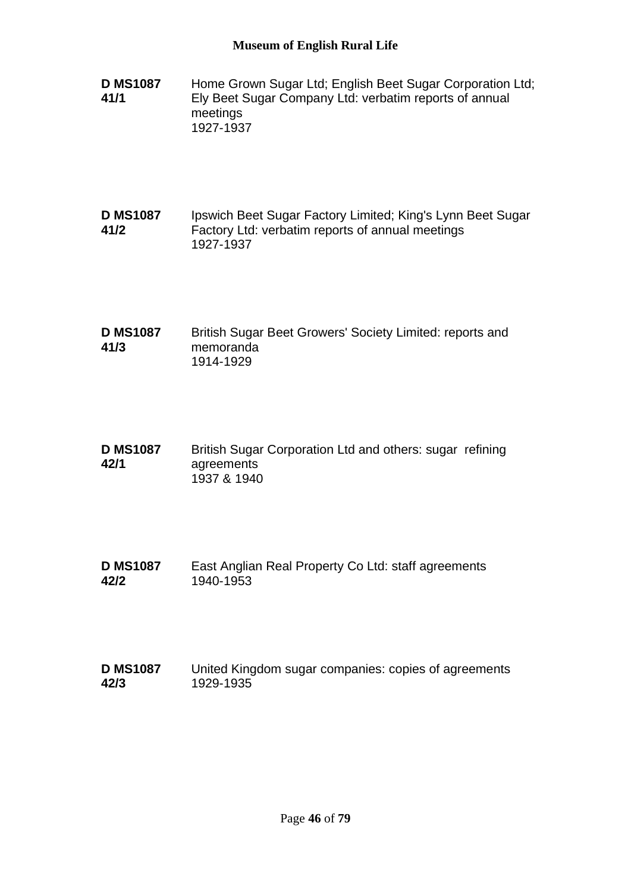- **D MS1087 41/1** Home Grown Sugar Ltd; English Beet Sugar Corporation Ltd; Ely Beet Sugar Company Ltd: verbatim reports of annual meetings 1927-1937
- **D MS1087 41/2** Ipswich Beet Sugar Factory Limited; King's Lynn Beet Sugar Factory Ltd: verbatim reports of annual meetings 1927-1937
- **D MS1087 41/3** British Sugar Beet Growers' Society Limited: reports and memoranda 1914-1929
- **D MS1087 42/1** British Sugar Corporation Ltd and others: sugar refining agreements 1937 & 1940
- **D MS1087 42/2** East Anglian Real Property Co Ltd: staff agreements 1940-1953
- **D MS1087 42/3** United Kingdom sugar companies: copies of agreements 1929-1935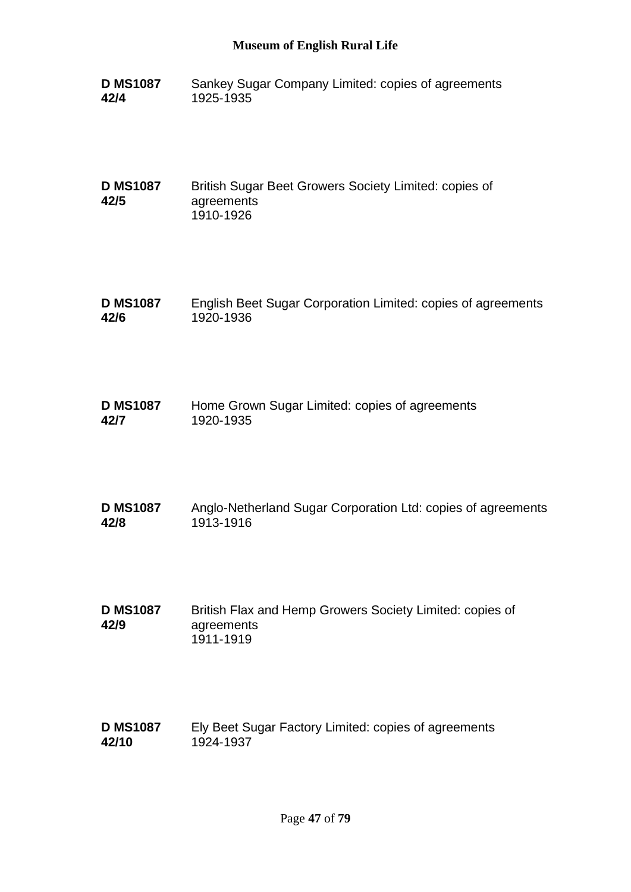**D MS1087 42/4** Sankey Sugar Company Limited: copies of agreements 1925-1935

**D MS1087 42/5** British Sugar Beet Growers Society Limited: copies of agreements 1910-1926

- **D MS1087 42/6** English Beet Sugar Corporation Limited: copies of agreements 1920-1936
- **D MS1087 42/7** Home Grown Sugar Limited: copies of agreements 1920-1935
- **D MS1087 42/8** Anglo-Netherland Sugar Corporation Ltd: copies of agreements 1913-1916
- **D MS1087 42/9** British Flax and Hemp Growers Society Limited: copies of agreements 1911-1919

#### **D MS1087 42/10** Ely Beet Sugar Factory Limited: copies of agreements 1924-1937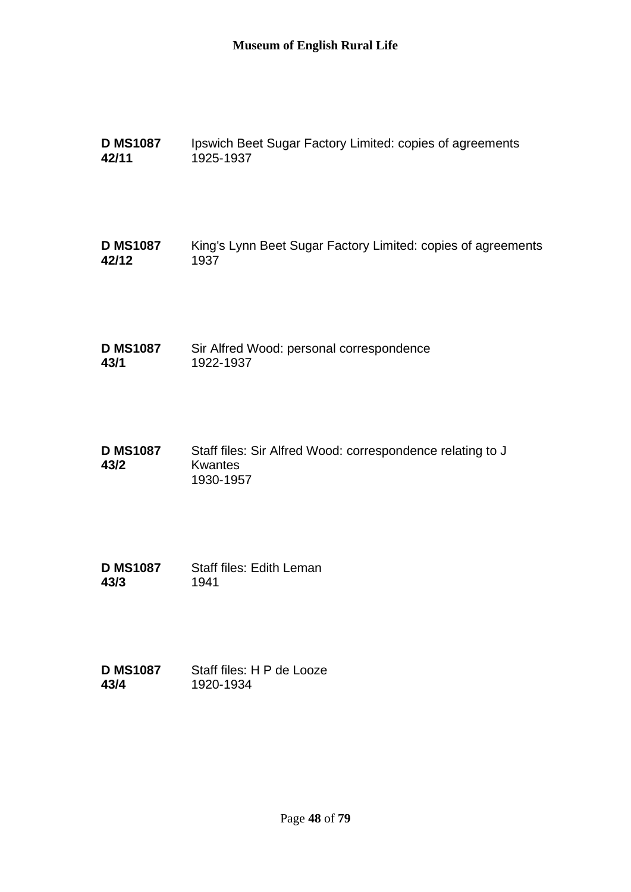| <b>D MS1087</b> | Ipswich Beet Sugar Factory Limited: copies of agreements |
|-----------------|----------------------------------------------------------|
| 42/11           | 1925-1937                                                |

**D MS1087 42/12** King's Lynn Beet Sugar Factory Limited: copies of agreements 1937

**D MS1087 43/1** Sir Alfred Wood: personal correspondence 1922-1937

- **D MS1087 43/2** Staff files: Sir Alfred Wood: correspondence relating to J Kwantes 1930-1957
- **D MS1087 43/3** Staff files: Edith Leman 1941
- **D MS1087 43/4** Staff files: H P de Looze 1920-1934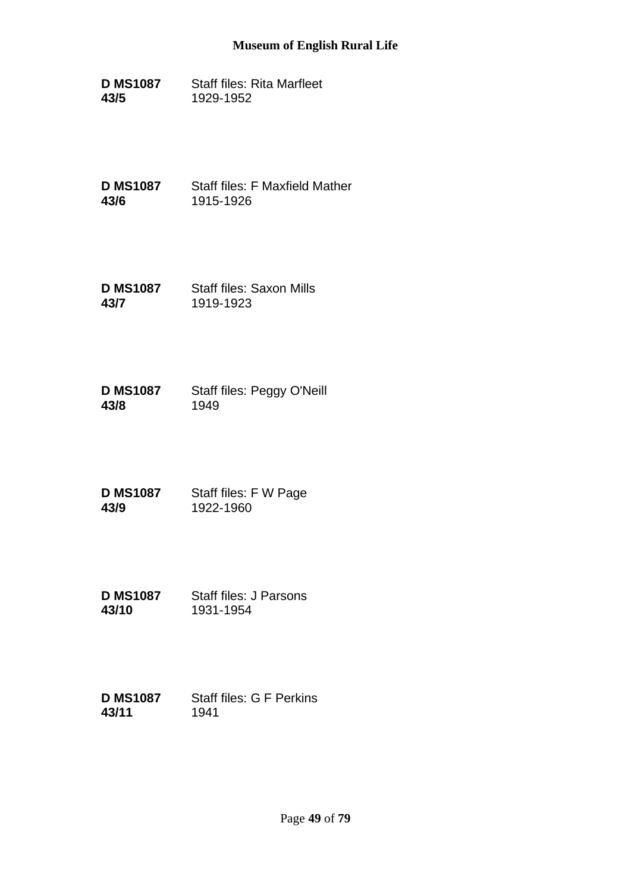**D MS1087 43/5** Staff files: Rita Marfleet 1929-1952

**D MS1087 43/6** Staff files: F Maxfield Mather 1915-1926

**D MS1087 43/7** Staff files: Saxon Mills 1919-1923

**D MS1087 43/8** Staff files: Peggy O'Neill 1949

**D MS1087 43/9** Staff files: F W Page 1922-1960

**D MS1087 43/10** Staff files: J Parsons 1931-1954

#### **D MS1087 43/11** Staff files: G F Perkins 1941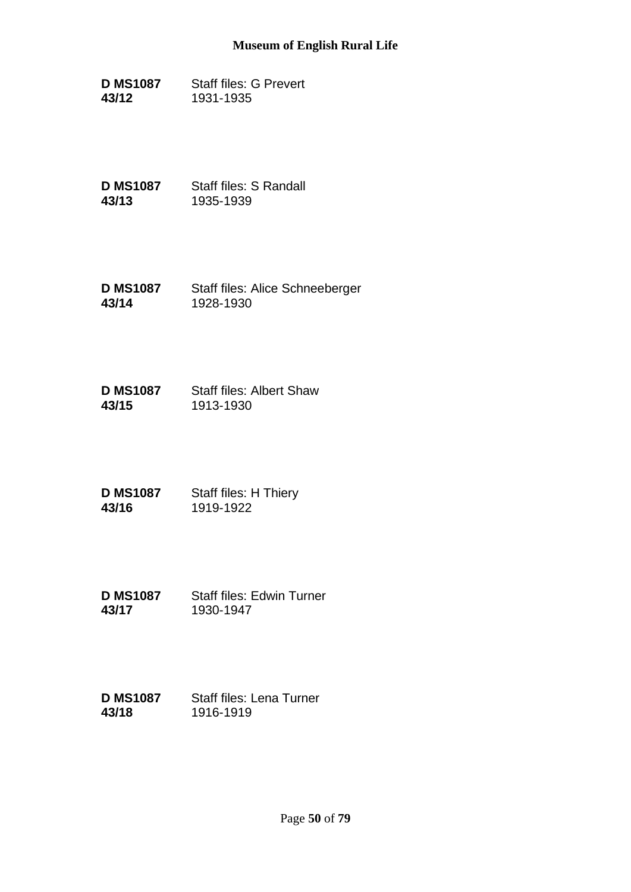**D MS1087 43/12** Staff files: G Prevert 1931-1935

**D MS1087 43/13** Staff files: S Randall 1935-1939

**D MS1087 43/14** Staff files: Alice Schneeberger 1928-1930

**D MS1087 43/15** Staff files: Albert Shaw 1913-1930

**D MS1087 43/16** Staff files: H Thiery 1919-1922

**D MS1087 43/17** Staff files: Edwin Turner 1930-1947

#### **D MS1087 43/18** Staff files: Lena Turner 1916-1919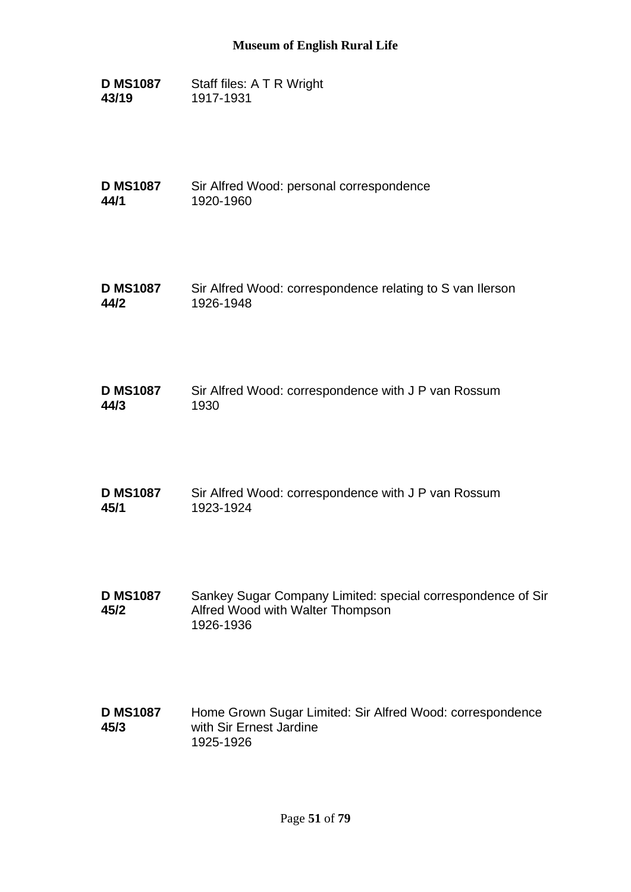**D MS1087 43/19** Staff files: A T R Wright 1917-1931

**D MS1087 44/1** Sir Alfred Wood: personal correspondence 1920-1960

- **D MS1087 44/2** Sir Alfred Wood: correspondence relating to S van Ilerson 1926-1948
- **D MS1087 44/3** Sir Alfred Wood: correspondence with J P van Rossum 1930
- **D MS1087 45/1** Sir Alfred Wood: correspondence with J P van Rossum 1923-1924
- **D MS1087 45/2** Sankey Sugar Company Limited: special correspondence of Sir Alfred Wood with Walter Thompson 1926-1936
- **D MS1087 45/3** Home Grown Sugar Limited: Sir Alfred Wood: correspondence with Sir Ernest Jardine 1925-1926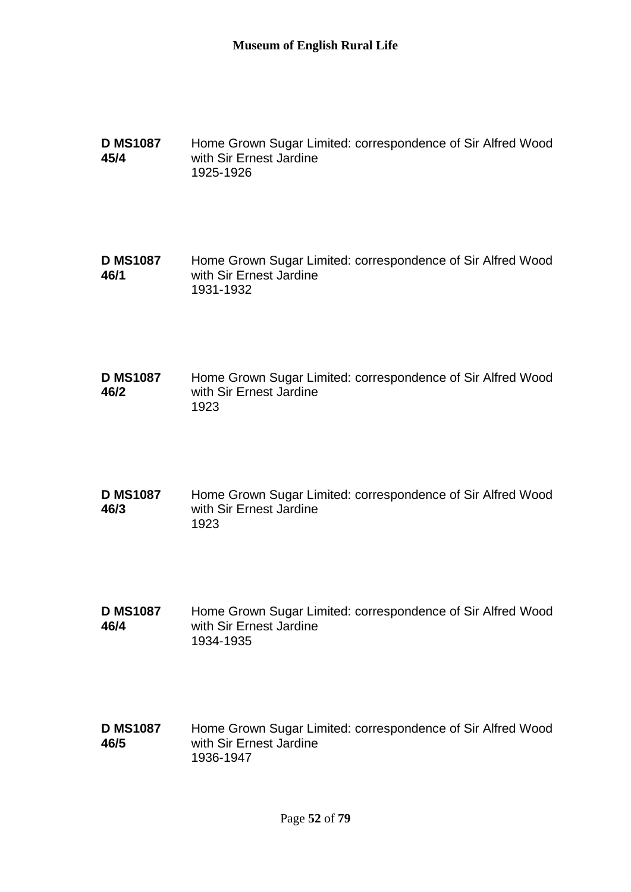**D MS1087 45/4** Home Grown Sugar Limited: correspondence of Sir Alfred Wood with Sir Ernest Jardine 1925-1926

**D MS1087 46/1** Home Grown Sugar Limited: correspondence of Sir Alfred Wood with Sir Ernest Jardine 1931-1932

**D MS1087 46/2** Home Grown Sugar Limited: correspondence of Sir Alfred Wood with Sir Ernest Jardine 1923

**D MS1087 46/3** Home Grown Sugar Limited: correspondence of Sir Alfred Wood with Sir Ernest Jardine 1923

**D MS1087 46/4** Home Grown Sugar Limited: correspondence of Sir Alfred Wood with Sir Ernest Jardine 1934-1935

**D MS1087 46/5** Home Grown Sugar Limited: correspondence of Sir Alfred Wood with Sir Ernest Jardine 1936-1947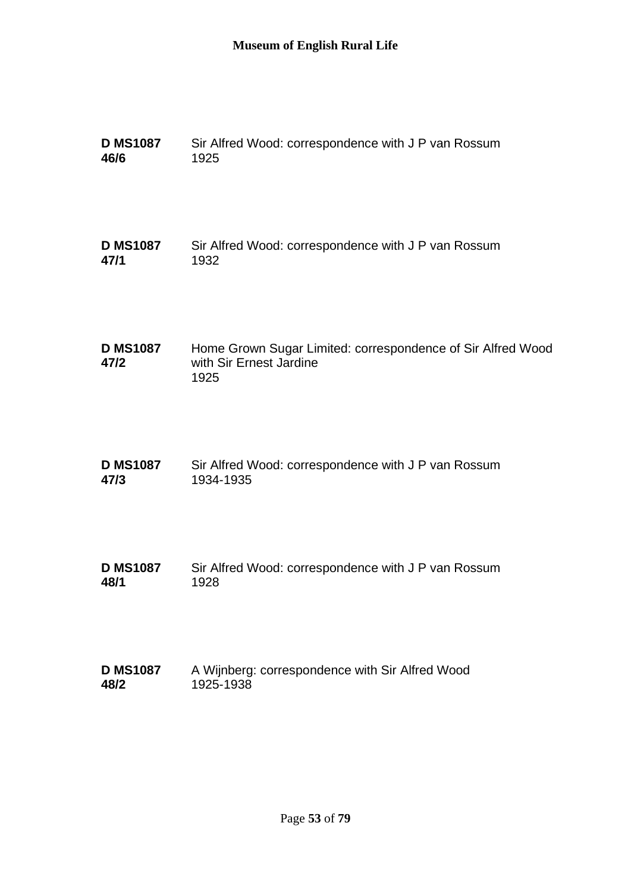| <b>D MS1087</b>         | Sir Alfred Wood: correspondence with J P van Rossum                                            |
|-------------------------|------------------------------------------------------------------------------------------------|
| 46/6                    | 1925                                                                                           |
| <b>D MS1087</b>         | Sir Alfred Wood: correspondence with J P van Rossum                                            |
| 47/1                    | 1932                                                                                           |
| <b>D MS1087</b><br>47/2 | Home Grown Sugar Limited: correspondence of Sir Alfred Wood<br>with Sir Ernest Jardine<br>1925 |
| <b>D MS1087</b>         | Sir Alfred Wood: correspondence with J P van Rossum                                            |
| 47/3                    | 1934-1935                                                                                      |
| <b>D MS1087</b>         | Sir Alfred Wood: correspondence with J P van Rossum                                            |
| 48/1                    | 1928                                                                                           |
| <b>D MS1087</b>         | A Wijnberg: correspondence with Sir Alfred Wood                                                |
| 48/2                    | 1925-1938                                                                                      |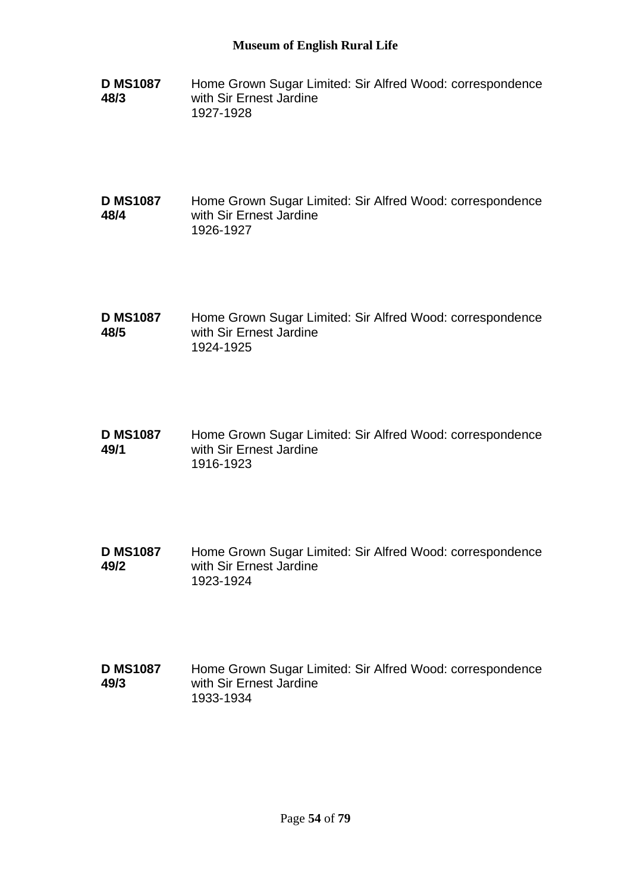- **D MS1087 48/3** Home Grown Sugar Limited: Sir Alfred Wood: correspondence with Sir Ernest Jardine 1927-1928
- **D MS1087 48/4** Home Grown Sugar Limited: Sir Alfred Wood: correspondence with Sir Ernest Jardine 1926-1927
- **D MS1087 48/5** Home Grown Sugar Limited: Sir Alfred Wood: correspondence with Sir Ernest Jardine 1924-1925
- **D MS1087 49/1** Home Grown Sugar Limited: Sir Alfred Wood: correspondence with Sir Ernest Jardine 1916-1923
- **D MS1087 49/2** Home Grown Sugar Limited: Sir Alfred Wood: correspondence with Sir Ernest Jardine 1923-1924
- **D MS1087 49/3** Home Grown Sugar Limited: Sir Alfred Wood: correspondence with Sir Ernest Jardine 1933-1934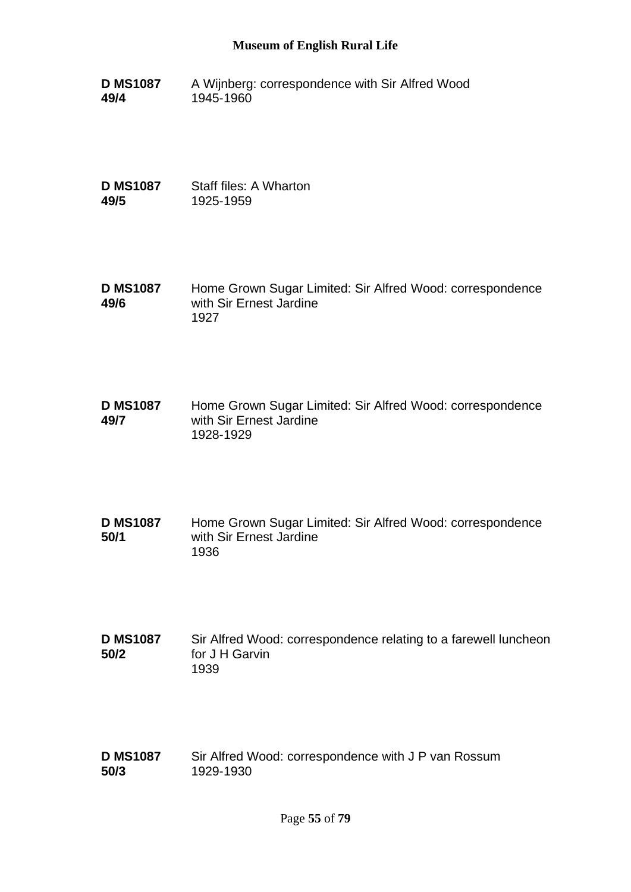**D MS1087 49/4** A Wijnberg: correspondence with Sir Alfred Wood 1945-1960

**D MS1087 49/5** Staff files: A Wharton 1925-1959

- **D MS1087 49/6** Home Grown Sugar Limited: Sir Alfred Wood: correspondence with Sir Ernest Jardine 1927
- **D MS1087 49/7** Home Grown Sugar Limited: Sir Alfred Wood: correspondence with Sir Ernest Jardine 1928-1929
- **D MS1087 50/1** Home Grown Sugar Limited: Sir Alfred Wood: correspondence with Sir Ernest Jardine 1936
- **D MS1087 50/2** Sir Alfred Wood: correspondence relating to a farewell luncheon for J H Garvin 1939
- **D MS1087 50/3** Sir Alfred Wood: correspondence with J P van Rossum 1929-1930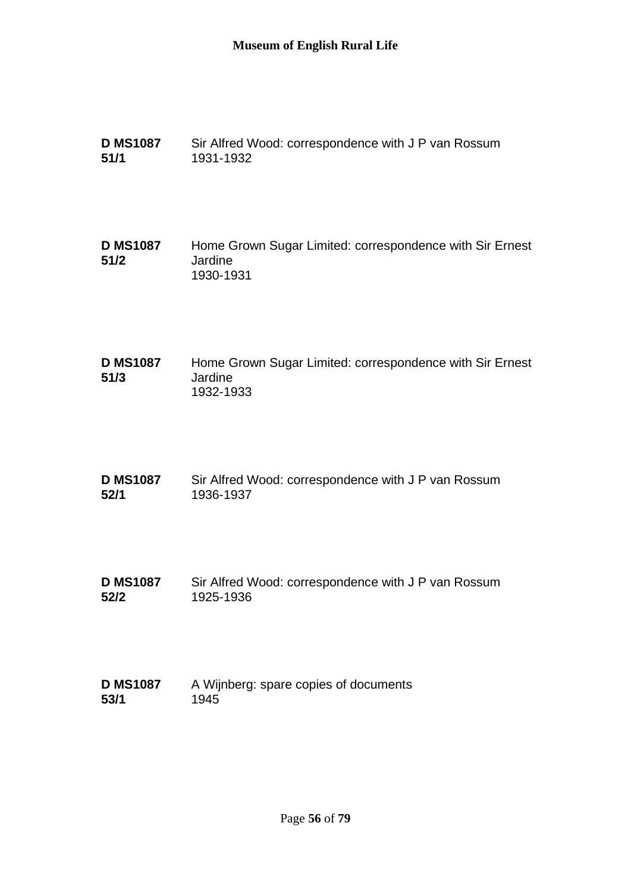- **D MS1087 51/1** Sir Alfred Wood: correspondence with J P van Rossum 1931-1932
- **D MS1087 51/2** Home Grown Sugar Limited: correspondence with Sir Ernest Jardine 1930-1931
- **D MS1087 51/3** Home Grown Sugar Limited: correspondence with Sir Ernest Jardine 1932-1933
- **D MS1087 52/1** Sir Alfred Wood: correspondence with J P van Rossum 1936-1937
- **D MS1087 52/2** Sir Alfred Wood: correspondence with J P van Rossum 1925-1936
- **D MS1087 53/1** A Wijnberg: spare copies of documents 1945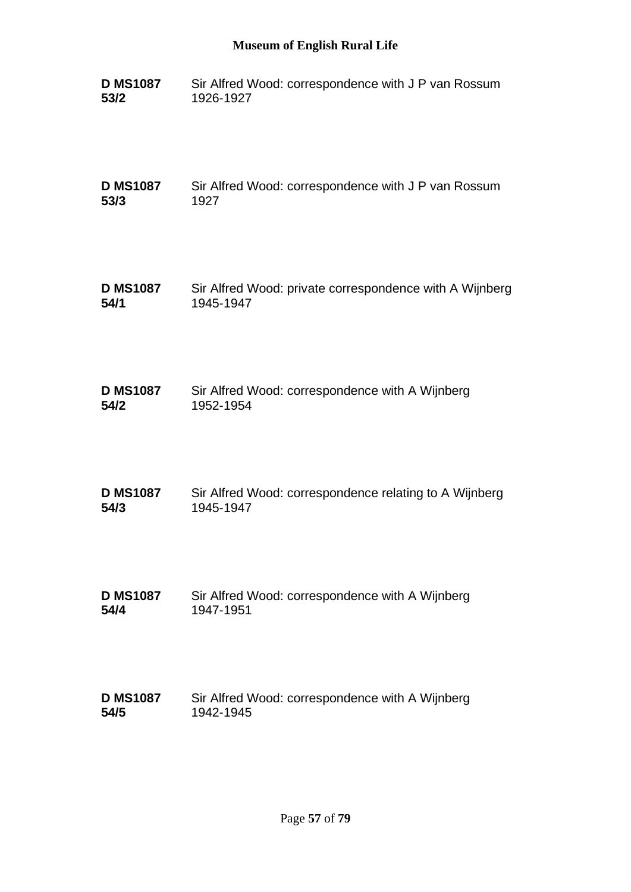| <b>D MS1087</b> | Sir Alfred Wood: correspondence with J P van Rossum |
|-----------------|-----------------------------------------------------|
| 53/2            | 1926-1927                                           |

**D MS1087 53/3** Sir Alfred Wood: correspondence with J P van Rossum 1927

**D MS1087 54/1** Sir Alfred Wood: private correspondence with A Wijnberg 1945-1947

| <b>D MS1087</b> | Sir Alfred Wood: correspondence with A Wijnberg |
|-----------------|-------------------------------------------------|
| 54/2            | 1952-1954                                       |

| <b>D MS1087</b> | Sir Alfred Wood: correspondence relating to A Wijnberg |
|-----------------|--------------------------------------------------------|
| 54/3            | 1945-1947                                              |

**D MS1087 54/4** Sir Alfred Wood: correspondence with A Wijnberg 1947-1951

#### **D MS1087 54/5** Sir Alfred Wood: correspondence with A Wijnberg 1942-1945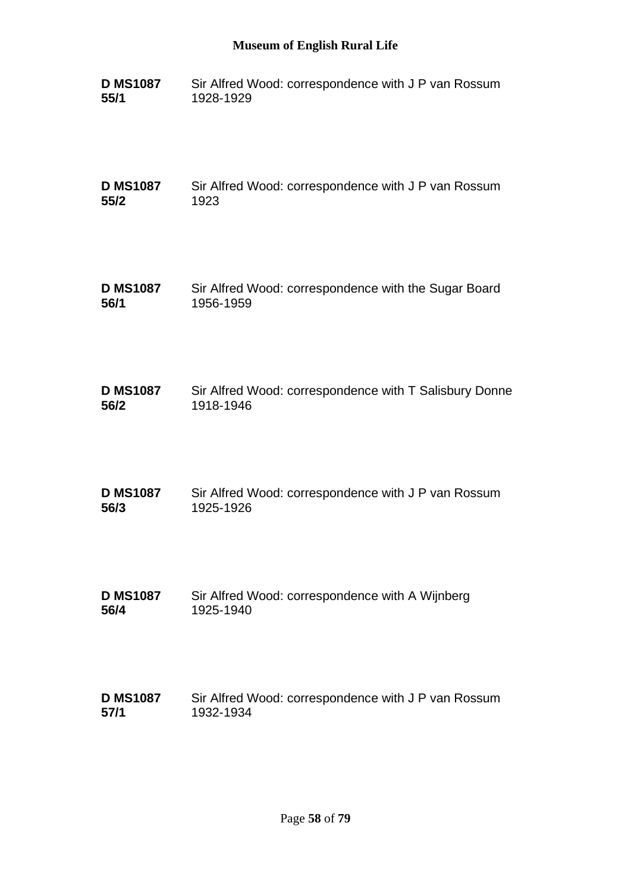**D MS1087 55/1** Sir Alfred Wood: correspondence with J P van Rossum 1928-1929

**D MS1087 55/2** Sir Alfred Wood: correspondence with J P van Rossum 1923

- **D MS1087 56/1** Sir Alfred Wood: correspondence with the Sugar Board 1956-1959
- **D MS1087 56/2** Sir Alfred Wood: correspondence with T Salisbury Donne 1918-1946
- **D MS1087 56/3** Sir Alfred Wood: correspondence with J P van Rossum 1925-1926
- **D MS1087 56/4** Sir Alfred Wood: correspondence with A Wijnberg 1925-1940
- **D MS1087 57/1** Sir Alfred Wood: correspondence with J P van Rossum 1932-1934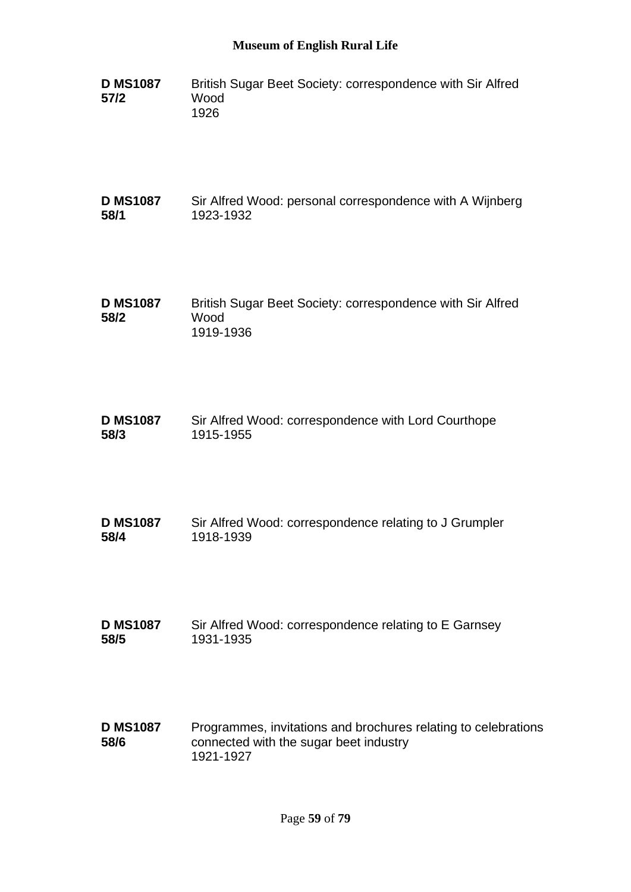- **D MS1087 57/2** British Sugar Beet Society: correspondence with Sir Alfred Wood 1926
- **D MS1087 58/1** Sir Alfred Wood: personal correspondence with A Wijnberg 1923-1932
- **D MS1087 58/2** British Sugar Beet Society: correspondence with Sir Alfred Wood 1919-1936
- **D MS1087 58/3** Sir Alfred Wood: correspondence with Lord Courthope 1915-1955
- **D MS1087 58/4** Sir Alfred Wood: correspondence relating to J Grumpler 1918-1939
- **D MS1087 58/5** Sir Alfred Wood: correspondence relating to E Garnsey 1931-1935
- **D MS1087 58/6** Programmes, invitations and brochures relating to celebrations connected with the sugar beet industry 1921-1927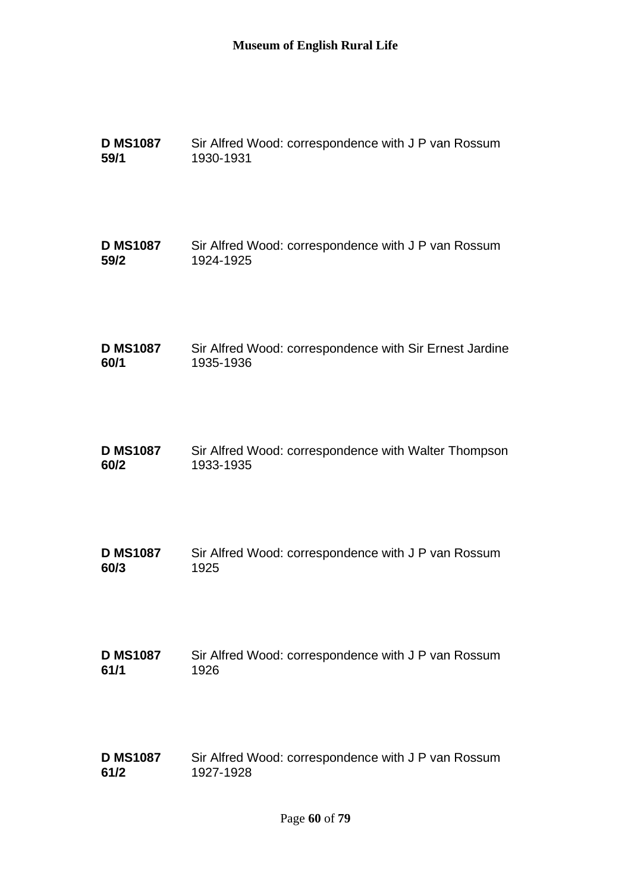| <b>D MS1087</b> | Sir Alfred Wood: correspondence with J P van Rossum     |
|-----------------|---------------------------------------------------------|
| 59/1            | 1930-1931                                               |
| <b>D MS1087</b> | Sir Alfred Wood: correspondence with J P van Rossum     |
| 59/2            | 1924-1925                                               |
| <b>D MS1087</b> | Sir Alfred Wood: correspondence with Sir Ernest Jardine |
| 60/1            | 1935-1936                                               |
| <b>D MS1087</b> | Sir Alfred Wood: correspondence with Walter Thompson    |
| 60/2            | 1933-1935                                               |
| <b>D MS1087</b> | Sir Alfred Wood: correspondence with J P van Rossum     |
| 60/3            | 1925                                                    |
| <b>D MS1087</b> | Sir Alfred Wood: correspondence with J P van Rossum     |
| 61/1            | 1926                                                    |
| <b>D MS1087</b> | Sir Alfred Wood: correspondence with J P van Rossum     |
| 61/2            | 1927-1928                                               |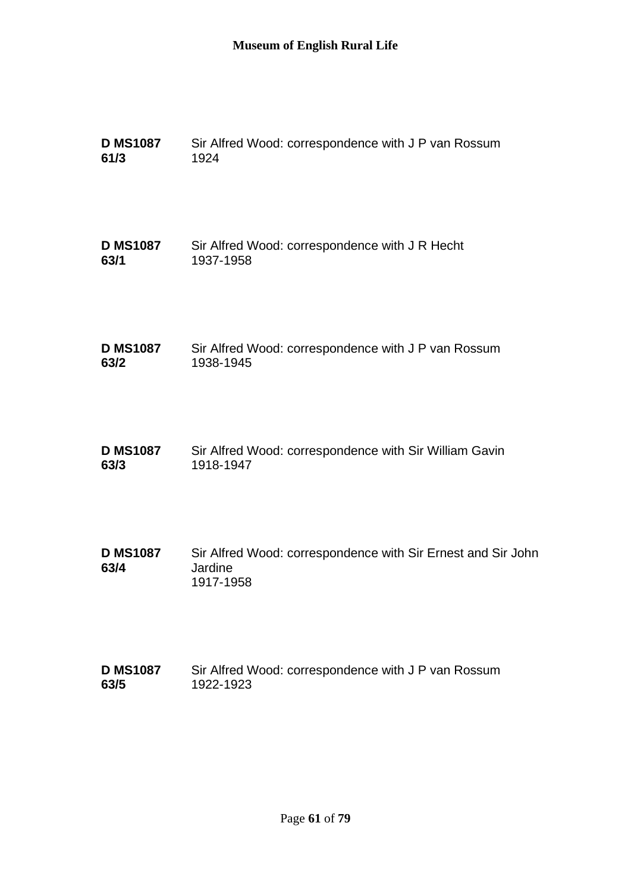| <b>D MS1087</b>         | Sir Alfred Wood: correspondence with J P van Rossum                                  |
|-------------------------|--------------------------------------------------------------------------------------|
| 61/3                    | 1924                                                                                 |
| <b>D MS1087</b>         | Sir Alfred Wood: correspondence with J R Hecht                                       |
| 63/1                    | 1937-1958                                                                            |
| <b>D MS1087</b>         | Sir Alfred Wood: correspondence with J P van Rossum                                  |
| 63/2                    | 1938-1945                                                                            |
| <b>D MS1087</b>         | Sir Alfred Wood: correspondence with Sir William Gavin                               |
| 63/3                    | 1918-1947                                                                            |
| <b>D MS1087</b><br>63/4 | Sir Alfred Wood: correspondence with Sir Ernest and Sir John<br>Jardine<br>1917-1958 |
| <b>D MS1087</b>         | Sir Alfred Wood: correspondence with J P van Rossum                                  |
| 63/5                    | 1922-1923                                                                            |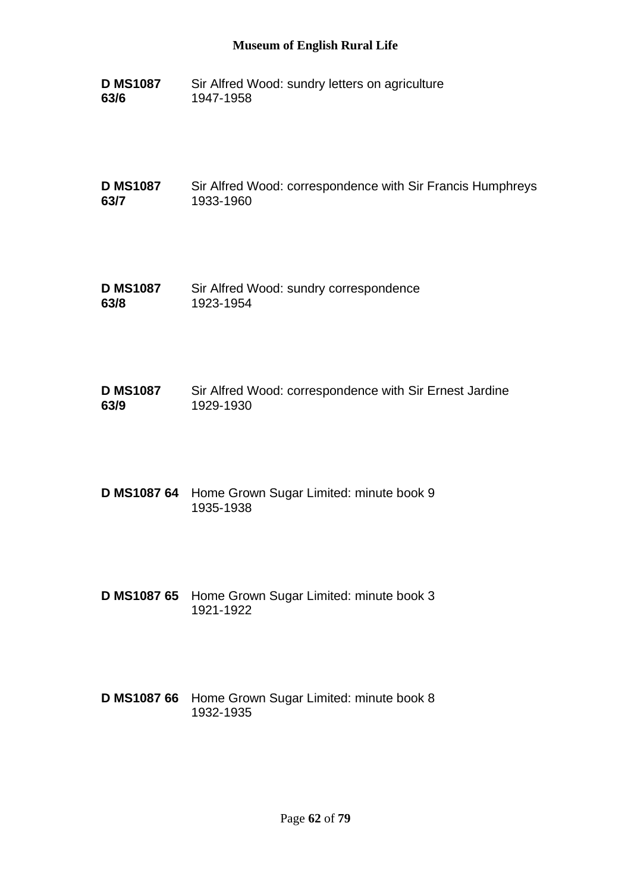**D MS1087 63/6** Sir Alfred Wood: sundry letters on agriculture 1947-1958

**D MS1087 63/7** Sir Alfred Wood: correspondence with Sir Francis Humphreys 1933-1960

- **D MS1087 63/8** Sir Alfred Wood: sundry correspondence 1923-1954
- **D MS1087 63/9** Sir Alfred Wood: correspondence with Sir Ernest Jardine 1929-1930
- **D MS1087 64** Home Grown Sugar Limited: minute book 9 1935-1938
- **D MS1087 65** Home Grown Sugar Limited: minute book 3 1921-1922
- **D MS1087 66** Home Grown Sugar Limited: minute book 8 1932-1935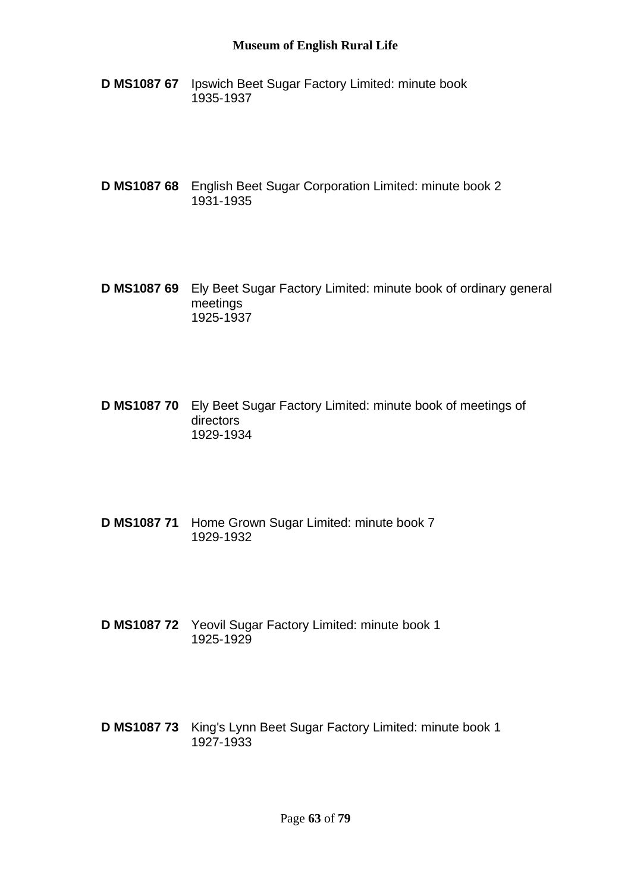- **D MS1087 67** Ipswich Beet Sugar Factory Limited: minute book 1935-1937
- **D MS1087 68** English Beet Sugar Corporation Limited: minute book 2 1931-1935
- **D MS1087 69** Ely Beet Sugar Factory Limited: minute book of ordinary general meetings 1925-1937
- **D MS1087 70** Ely Beet Sugar Factory Limited: minute book of meetings of directors 1929-1934
- **D MS1087 71** Home Grown Sugar Limited: minute book 7 1929-1932
- **D MS1087 72** Yeovil Sugar Factory Limited: minute book 1 1925-1929
- **D MS1087 73** King's Lynn Beet Sugar Factory Limited: minute book 1 1927-1933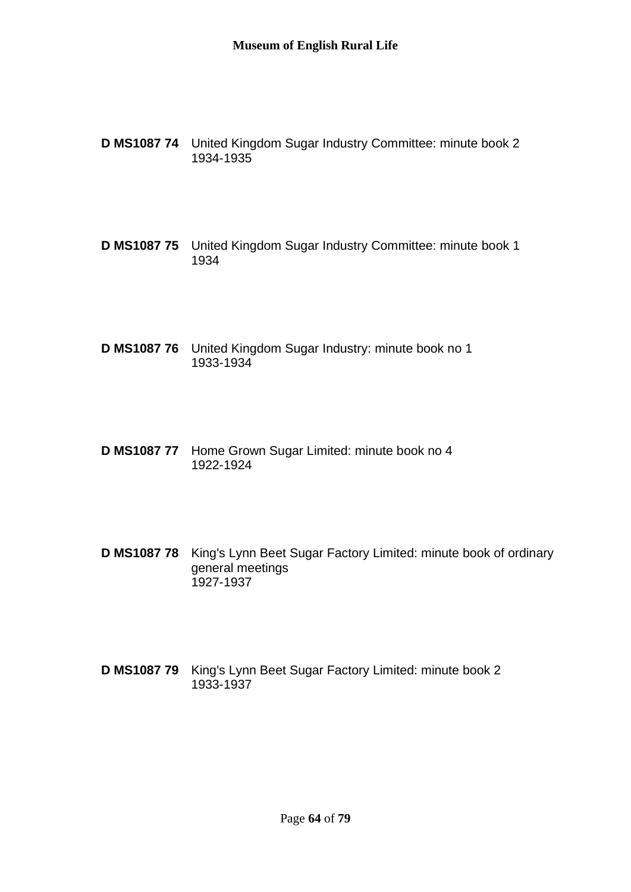- **D MS1087 74** United Kingdom Sugar Industry Committee: minute book 2 1934-1935
- **D MS1087 75** United Kingdom Sugar Industry Committee: minute book 1 1934
- **D MS1087 76** United Kingdom Sugar Industry: minute book no 1 1933-1934
- **D MS1087 77** Home Grown Sugar Limited: minute book no 4 1922-1924
- **D MS1087 78** King's Lynn Beet Sugar Factory Limited: minute book of ordinary general meetings 1927-1937
- **D MS1087 79** King's Lynn Beet Sugar Factory Limited: minute book 2 1933-1937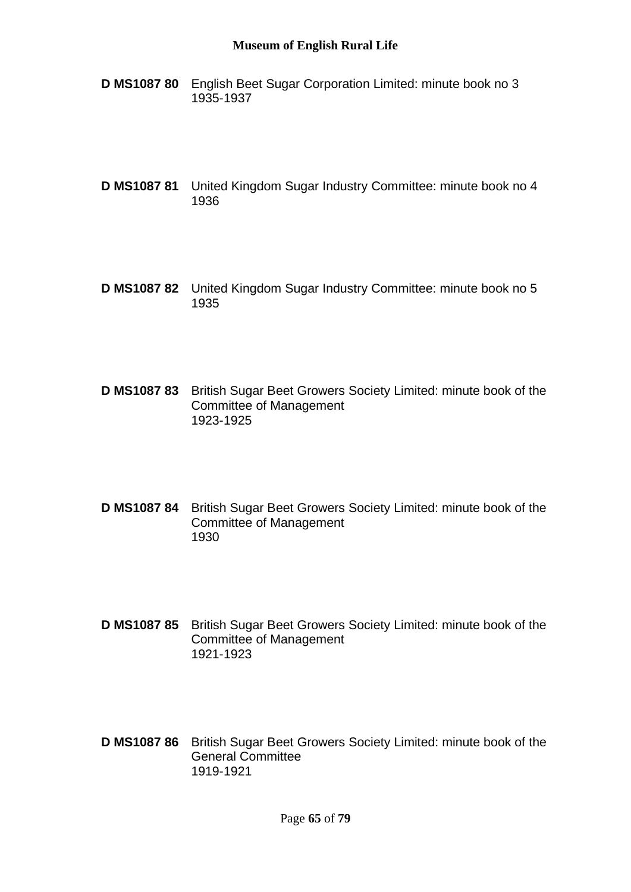- **D MS1087 80** English Beet Sugar Corporation Limited: minute book no 3 1935-1937
- **D MS1087 81** United Kingdom Sugar Industry Committee: minute book no 4 1936
- **D MS1087 82** United Kingdom Sugar Industry Committee: minute book no 5 1935
- **D MS1087 83** British Sugar Beet Growers Society Limited: minute book of the Committee of Management 1923-1925
- **D MS1087 84** British Sugar Beet Growers Society Limited: minute book of the Committee of Management 1930
- **D MS1087 85** British Sugar Beet Growers Society Limited: minute book of the Committee of Management 1921-1923
- **D MS1087 86** British Sugar Beet Growers Society Limited: minute book of the General Committee 1919-1921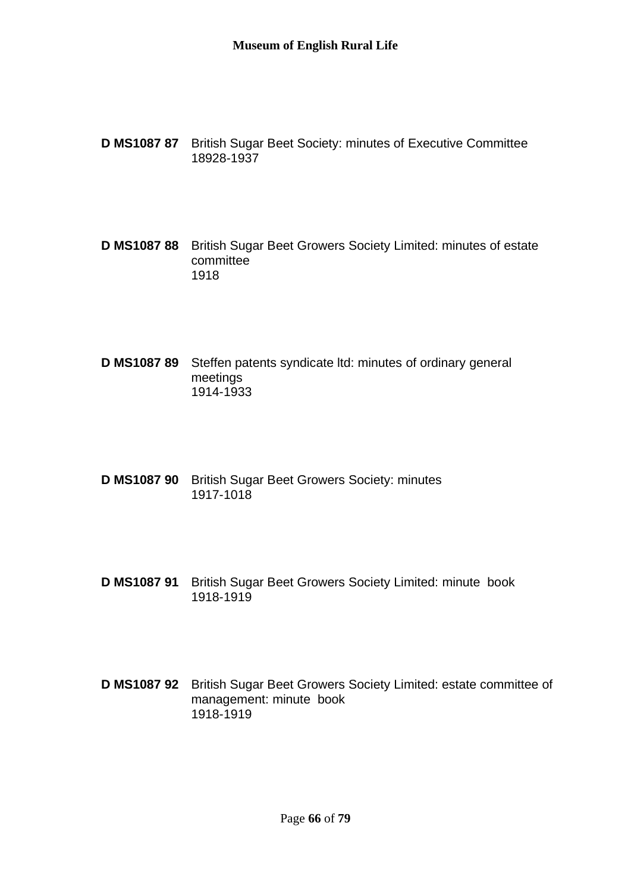- **D MS1087 87** British Sugar Beet Society: minutes of Executive Committee 18928-1937
- **D MS1087 88** British Sugar Beet Growers Society Limited: minutes of estate committee 1918
- **D MS1087 89** Steffen patents syndicate ltd: minutes of ordinary general meetings 1914-1933
- **D MS1087 90** British Sugar Beet Growers Society: minutes 1917-1018
- **D MS1087 91** British Sugar Beet Growers Society Limited: minute book 1918-1919
- **D MS1087 92** British Sugar Beet Growers Society Limited: estate committee of management: minute book 1918-1919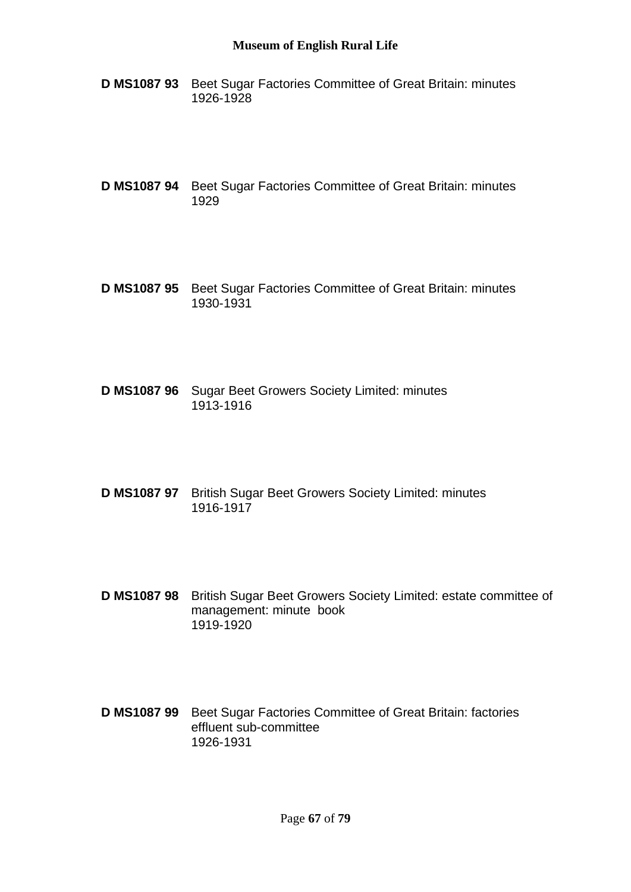- **D MS1087 93** Beet Sugar Factories Committee of Great Britain: minutes 1926-1928
- **D MS1087 94** Beet Sugar Factories Committee of Great Britain: minutes 1929
- **D MS1087 95** Beet Sugar Factories Committee of Great Britain: minutes 1930-1931
- **D MS1087 96** Sugar Beet Growers Society Limited: minutes 1913-1916
- **D MS1087 97** British Sugar Beet Growers Society Limited: minutes 1916-1917
- **D MS1087 98** British Sugar Beet Growers Society Limited: estate committee of management: minute book 1919-1920
- **D MS1087 99** Beet Sugar Factories Committee of Great Britain: factories effluent sub-committee 1926-1931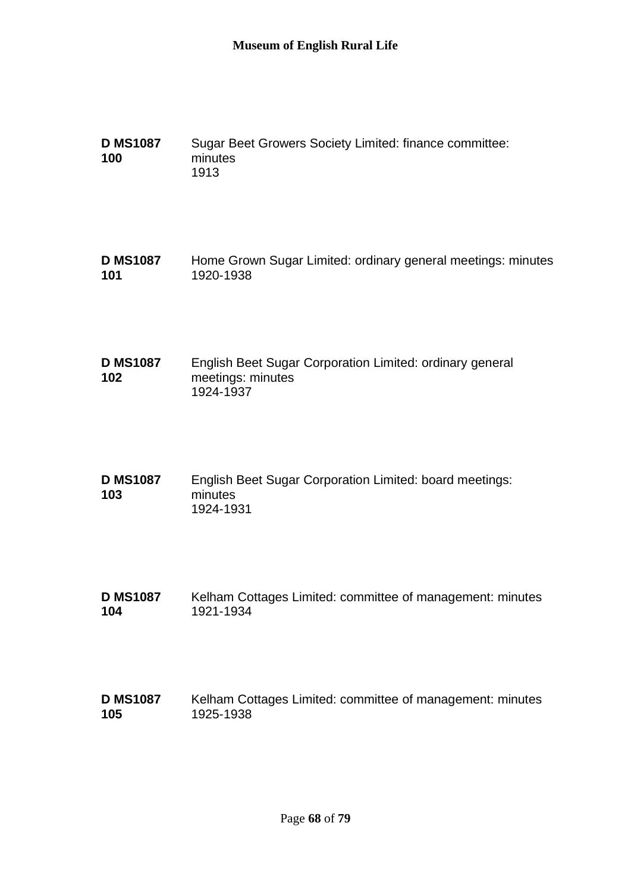| <b>D MS1087</b> | Sugar Beet Growers Society Limited: finance committee: |
|-----------------|--------------------------------------------------------|
| 100             | minutes                                                |
|                 | 1913                                                   |

**D MS1087 101** Home Grown Sugar Limited: ordinary general meetings: minutes 1920-1938

- **D MS1087 102** English Beet Sugar Corporation Limited: ordinary general meetings: minutes 1924-1937
- **D MS1087 103** English Beet Sugar Corporation Limited: board meetings: minutes 1924-1931
- **D MS1087 104** Kelham Cottages Limited: committee of management: minutes 1921-1934
- **D MS1087 105** Kelham Cottages Limited: committee of management: minutes 1925-1938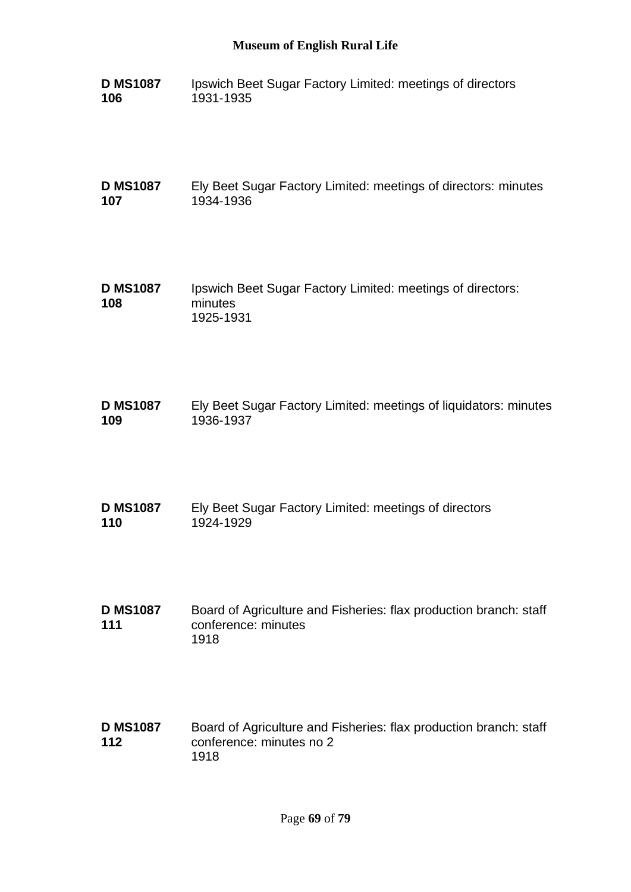**D MS1087 106** Ipswich Beet Sugar Factory Limited: meetings of directors 1931-1935

**D MS1087 107** Ely Beet Sugar Factory Limited: meetings of directors: minutes 1934-1936

- **D MS1087 108** Ipswich Beet Sugar Factory Limited: meetings of directors: minutes 1925-1931
- **D MS1087 109** Ely Beet Sugar Factory Limited: meetings of liquidators: minutes 1936-1937
- **D MS1087 110** Ely Beet Sugar Factory Limited: meetings of directors 1924-1929
- **D MS1087 111** Board of Agriculture and Fisheries: flax production branch: staff conference: minutes 1918
- **D MS1087 112** Board of Agriculture and Fisheries: flax production branch: staff conference: minutes no 2 1918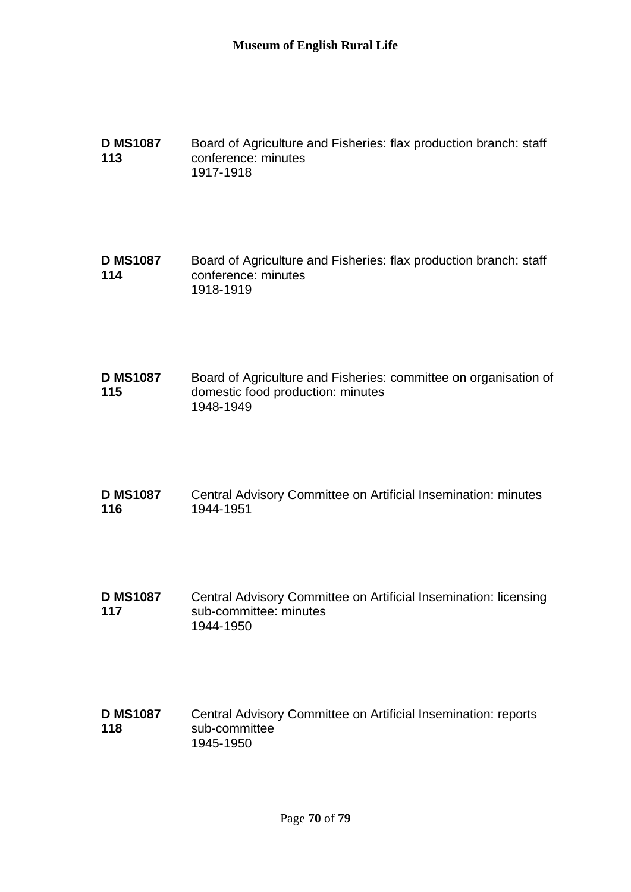**D MS1087 113** Board of Agriculture and Fisheries: flax production branch: staff conference: minutes 1917-1918

**D MS1087 114** Board of Agriculture and Fisheries: flax production branch: staff conference: minutes 1918-1919

**D MS1087 115** Board of Agriculture and Fisheries: committee on organisation of domestic food production: minutes 1948-1949

**D MS1087 116** Central Advisory Committee on Artificial Insemination: minutes 1944-1951

**D MS1087 117** Central Advisory Committee on Artificial Insemination: licensing sub-committee: minutes 1944-1950

**D MS1087 118** Central Advisory Committee on Artificial Insemination: reports sub-committee 1945-1950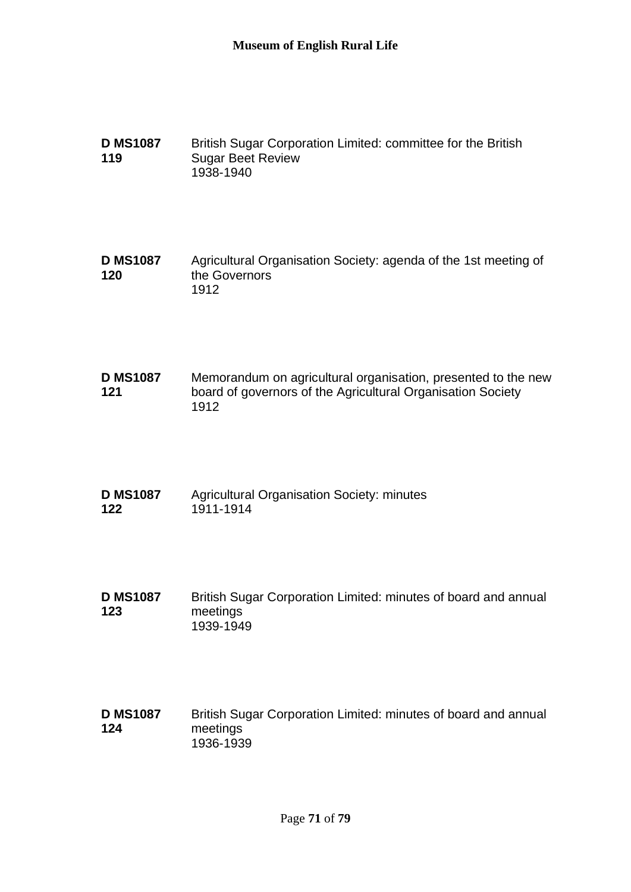| <b>D MS1087</b> | British Sugar Corporation Limited: committee for the British |
|-----------------|--------------------------------------------------------------|
| 119             | <b>Sugar Beet Review</b>                                     |
|                 | 1938-1940                                                    |

**D MS1087 120** Agricultural Organisation Society: agenda of the 1st meeting of the Governors 1912

**D MS1087 121** Memorandum on agricultural organisation, presented to the new board of governors of the Agricultural Organisation Society 1912

| <b>D MS1087</b> | <b>Agricultural Organisation Society: minutes</b> |
|-----------------|---------------------------------------------------|
| 122             | 1911-1914                                         |

**D MS1087 123** British Sugar Corporation Limited: minutes of board and annual meetings 1939-1949

**D MS1087 124** British Sugar Corporation Limited: minutes of board and annual meetings 1936-1939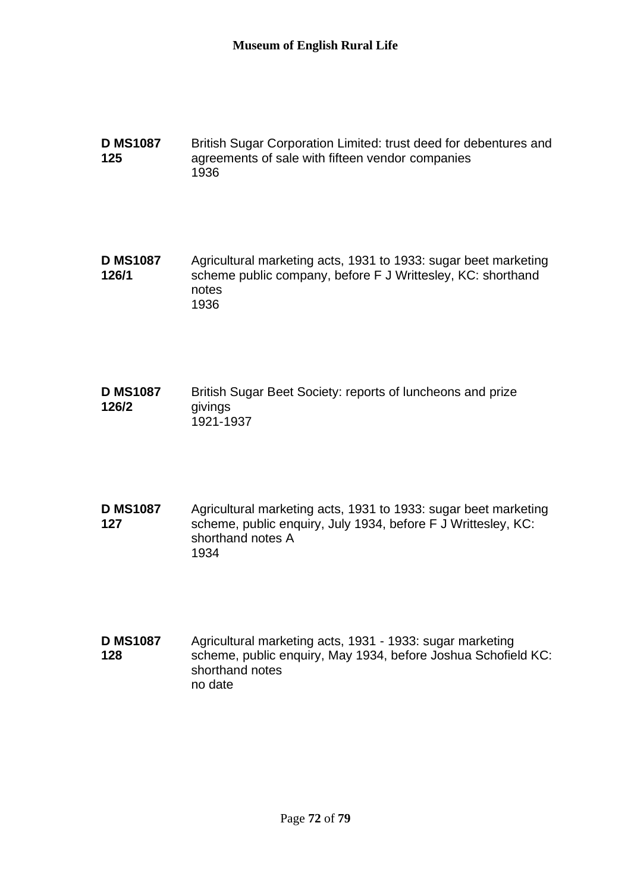**D MS1087 125** British Sugar Corporation Limited: trust deed for debentures and agreements of sale with fifteen vendor companies 1936

**D MS1087 126/1** Agricultural marketing acts, 1931 to 1933: sugar beet marketing scheme public company, before F J Writtesley, KC: shorthand notes 1936

**D MS1087 126/2** British Sugar Beet Society: reports of luncheons and prize givings 1921-1937

**D MS1087 127** Agricultural marketing acts, 1931 to 1933: sugar beet marketing scheme, public enquiry, July 1934, before F J Writtesley, KC: shorthand notes A 1934

**D MS1087 128** Agricultural marketing acts, 1931 - 1933: sugar marketing scheme, public enquiry, May 1934, before Joshua Schofield KC: shorthand notes no date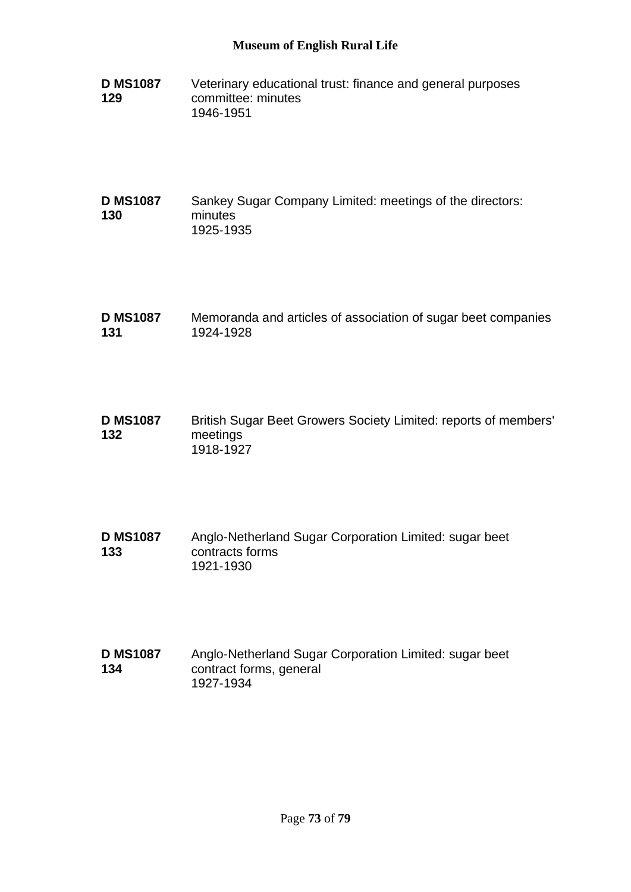- **D MS1087 129** Veterinary educational trust: finance and general purposes committee: minutes 1946-1951
- **D MS1087 130** Sankey Sugar Company Limited: meetings of the directors: minutes 1925-1935
- **D MS1087 131** Memoranda and articles of association of sugar beet companies 1924-1928
- **D MS1087 132** British Sugar Beet Growers Society Limited: reports of members' meetings 1918-1927
- **D MS1087 133** Anglo-Netherland Sugar Corporation Limited: sugar beet contracts forms 1921-1930
- **D MS1087 134** Anglo-Netherland Sugar Corporation Limited: sugar beet contract forms, general 1927-1934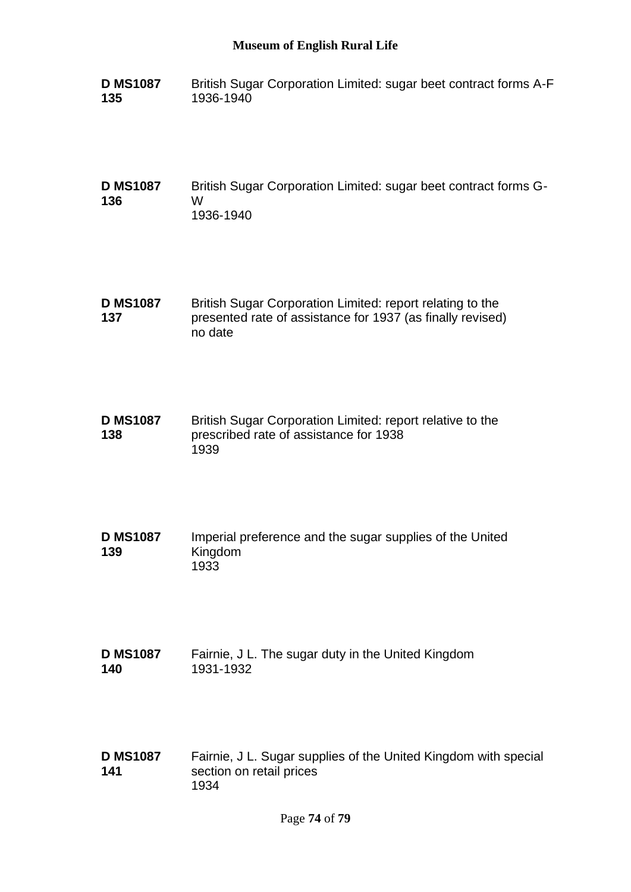- **D MS1087 135** British Sugar Corporation Limited: sugar beet contract forms A-F 1936-1940
- **D MS1087 136** British Sugar Corporation Limited: sugar beet contract forms G-W 1936-1940
- **D MS1087 137** British Sugar Corporation Limited: report relating to the presented rate of assistance for 1937 (as finally revised) no date
- **D MS1087 138** British Sugar Corporation Limited: report relative to the prescribed rate of assistance for 1938 1939
- **D MS1087 139** Imperial preference and the sugar supplies of the United Kingdom 1933
- **D MS1087 140** Fairnie, J L. The sugar duty in the United Kingdom 1931-1932
- **D MS1087 141** Fairnie, J L. Sugar supplies of the United Kingdom with special section on retail prices 1934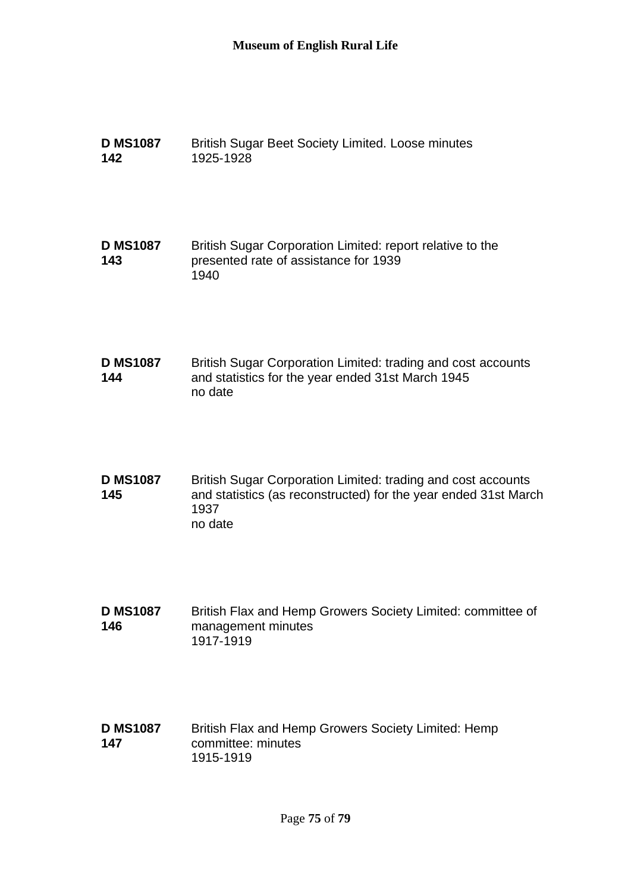| <b>D MS1087</b><br>142 | <b>British Sugar Beet Society Limited. Loose minutes</b><br>1925-1928                                                                              |
|------------------------|----------------------------------------------------------------------------------------------------------------------------------------------------|
| <b>D MS1087</b><br>143 | British Sugar Corporation Limited: report relative to the<br>presented rate of assistance for 1939<br>1940                                         |
| <b>D MS1087</b><br>144 | British Sugar Corporation Limited: trading and cost accounts<br>and statistics for the year ended 31st March 1945<br>no date                       |
| <b>D MS1087</b><br>145 | British Sugar Corporation Limited: trading and cost accounts<br>and statistics (as reconstructed) for the year ended 31st March<br>1937<br>no date |
| <b>D MS1087</b><br>146 | British Flax and Hemp Growers Society Limited: committee of<br>management minutes<br>1917-1919                                                     |
| <b>D MS1087</b><br>147 | British Flax and Hemp Growers Society Limited: Hemp<br>committee: minutes<br>1915-1919                                                             |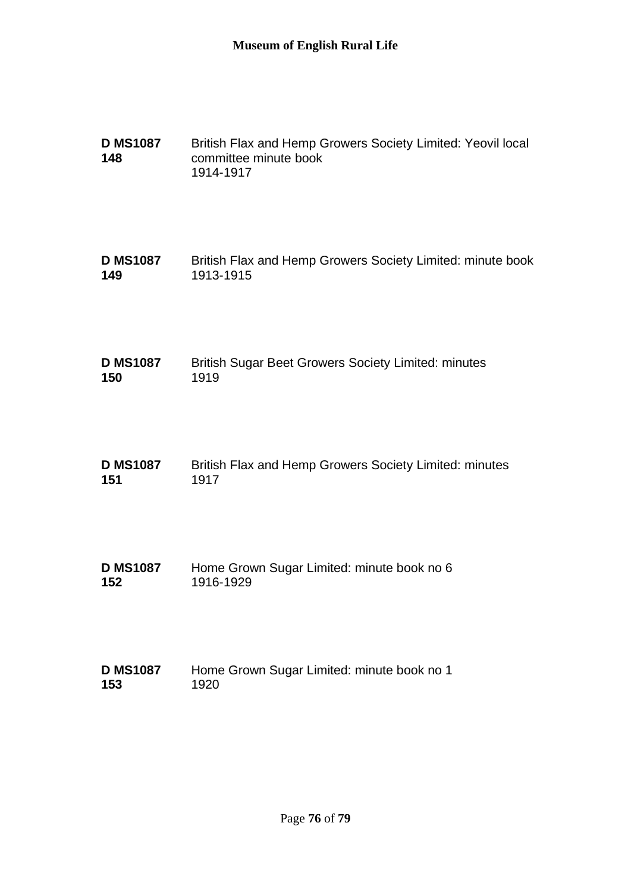| <b>D MS1087</b><br>148 | British Flax and Hemp Growers Society Limited: Yeovil local<br>committee minute book<br>1914-1917 |
|------------------------|---------------------------------------------------------------------------------------------------|
| <b>D MS1087</b>        | British Flax and Hemp Growers Society Limited: minute book                                        |
| 149                    | 1913-1915                                                                                         |
| <b>D MS1087</b>        | <b>British Sugar Beet Growers Society Limited: minutes</b>                                        |
| 150                    | 1919                                                                                              |
| <b>D MS1087</b>        | British Flax and Hemp Growers Society Limited: minutes                                            |
| 151                    | 1917                                                                                              |
| <b>D MS1087</b>        | Home Grown Sugar Limited: minute book no 6                                                        |
| 152                    | 1916-1929                                                                                         |
| <b>D MS1087</b>        | Home Grown Sugar Limited: minute book no 1                                                        |
| 153                    | 1920                                                                                              |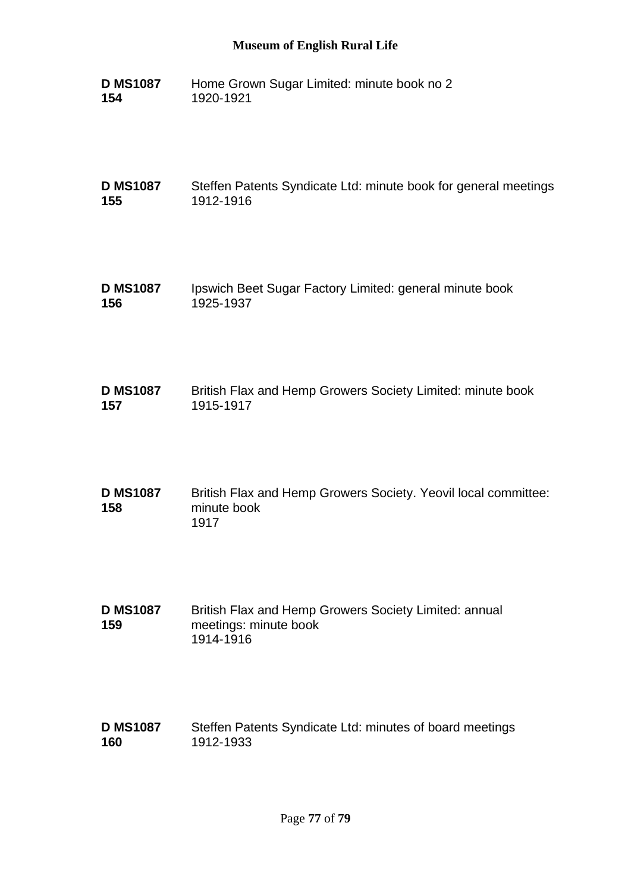## **Museum of English Rural Life**

**D MS1087 154** Home Grown Sugar Limited: minute book no 2 1920-1921

**D MS1087 155** Steffen Patents Syndicate Ltd: minute book for general meetings 1912-1916

- **D MS1087 156** Ipswich Beet Sugar Factory Limited: general minute book 1925-1937
- **D MS1087 157** British Flax and Hemp Growers Society Limited: minute book 1915-1917
- **D MS1087 158** British Flax and Hemp Growers Society. Yeovil local committee: minute book 1917
- **D MS1087 159** British Flax and Hemp Growers Society Limited: annual meetings: minute book 1914-1916
- **D MS1087 160** Steffen Patents Syndicate Ltd: minutes of board meetings 1912-1933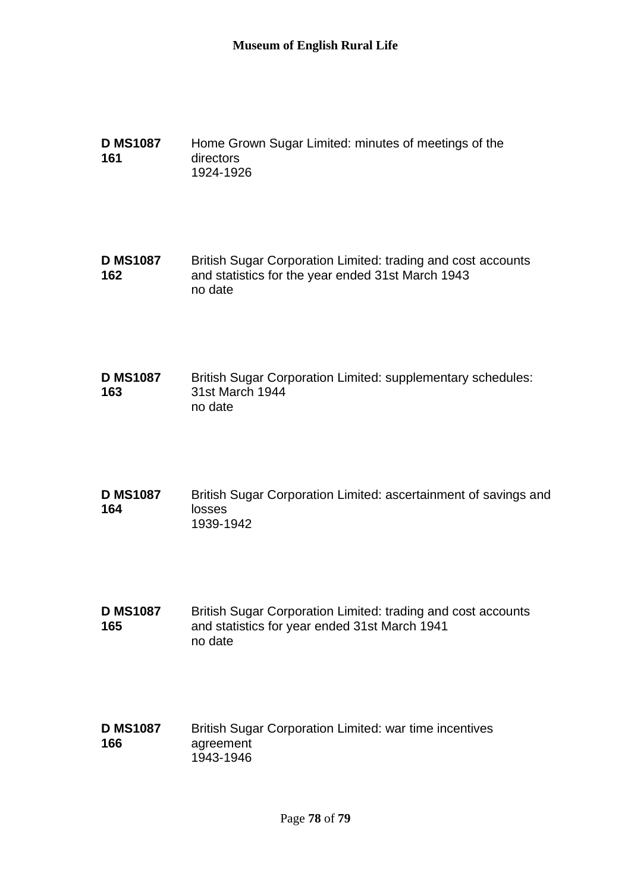**D MS1087 161** Home Grown Sugar Limited: minutes of meetings of the directors 1924-1926

**D MS1087 162** British Sugar Corporation Limited: trading and cost accounts and statistics for the year ended 31st March 1943 no date

**D MS1087 163** British Sugar Corporation Limited: supplementary schedules: 31st March 1944 no date

**D MS1087 164** British Sugar Corporation Limited: ascertainment of savings and losses 1939-1942

**D MS1087 165** British Sugar Corporation Limited: trading and cost accounts and statistics for year ended 31st March 1941 no date

**D MS1087 166** British Sugar Corporation Limited: war time incentives agreement 1943-1946